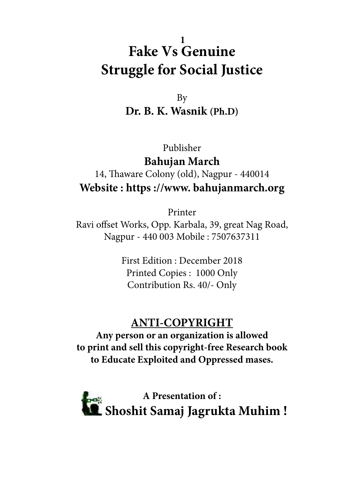## **1 Fake Vs Genuine Struggle for Social Justice**

By **Dr. B. K. Wasnik (Ph.D)**

> Publisher **Bahujan March**

14, Thaware Colony (old), Nagpur - 440014 **Website : https ://www. bahujanmarch.org**

Printer

Ravi offset Works, Opp. Karbala, 39, great Nag Road, Nagpur - 440 003 Mobile : 7507637311

> First Edition : December 2018 Printed Copies : 1000 Only Contribution Rs. 40/- Only

### **ANTI-COPYRIGHT**

**Any person or an organization is allowed to print and sell this copyright-free Research book to Educate Exploited and Oppressed mases.**

**A Presentation of : Shoshit Samaj Jagrukta Muhim !**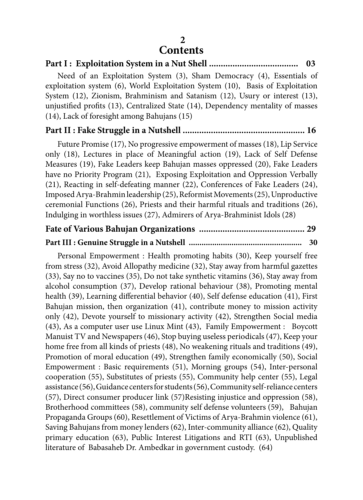#### **2 Contents**

**Part I : Exploitation System in a Nut Shell ...................................... 03**  Need of an Exploitation System (3), Sham Democracy (4), Essentials of exploitation system (6), World Exploitation System (10), Basis of Exploitation System (12), Zionism, Brahminism and Satanism (12), Usury or interest (13), unjustified profits (13), Centralized State (14), Dependency mentality of masses (14), Lack of foresight among Bahujans (15) **Part II : Fake Struggle in a Nutshell .................................................... 16** Future Promise (17), No progressive empowerment of masses (18), Lip Service only (18), Lectures in place of Meaningful action (19), Lack of Self Defense Measures (19), Fake Leaders keep Bahujan masses oppressed (20), Fake Leaders have no Priority Program (21), Exposing Exploitation and Oppression Verbally (21), Reacting in self-defeating manner (22), Conferences of Fake Leaders (24), Imposed Arya-Brahmin leadership (25), Reformist Movements (25), Unproductive

ceremonial Functions (26), Priests and their harmful rituals and traditions (26), Indulging in worthless issues (27), Admirers of Arya-Brahminist Idols (28) **Fate of Various Bahujan Organizations ............................................. 29**

#### **Part III : Genuine Struggle in a Nutshell ..................................................... 30**

Personal Empowerment : Health promoting habits (30), Keep yourself free from stress (32), Avoid Allopathy medicine (32), Stay away from harmful gazettes (33), Say no to vaccines (35), Do not take synthetic vitamins (36), Stay away from alcohol consumption (37), Develop rational behaviour (38), Promoting mental health (39), Learning differential behavior (40), Self defense education (41), First Bahujan mission, then organization (41), contribute money to mission activity only (42), Devote yourself to missionary activity (42), Strengthen Social media (43), As a computer user use Linux Mint (43), Family Empowerment : Boycott Manuist TV and Newspapers (46), Stop buying useless periodicals (47), Keep your home free from all kinds of priests (48), No weakening rituals and traditions (49), Promotion of moral education (49), Strengthen family economically (50), Social Empowerment : Basic requirements (51), Morning groups (54), Inter-personal cooperation (55), Substitutes of priests (55), Community help center (55), Legal assistance (56), Guidance centers for students (56), Community self-reliance centers (57), Direct consumer producer link (57)Resisting injustice and oppression (58), Brotherhood committees (58), community self defense volunteers (59), Bahujan Propaganda Groups (60), Resettlement of Victims of Arya-Brahmin violence (61), Saving Bahujans from money lenders (62), Inter-community alliance (62), Quality primary education (63), Public Interest Litigations and RTI (63), Unpublished literature of Babasaheb Dr. Ambedkar in government custody. (64)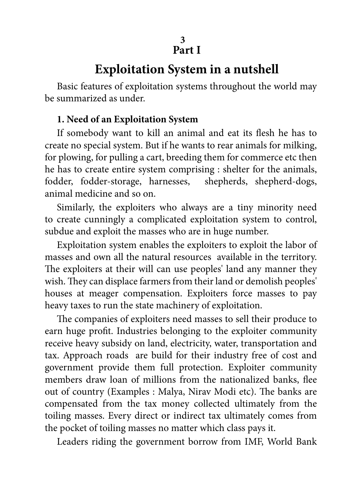#### **3 Part I**

## **Exploitation System in a nutshell**

Basic features of exploitation systems throughout the world may be summarized as under.

#### **1. Need of an Exploitation System**

If somebody want to kill an animal and eat its flesh he has to create no special system. But if he wants to rear animals for milking, for plowing, for pulling a cart, breeding them for commerce etc then he has to create entire system comprising : shelter for the animals, fodder, fodder-storage, harnesses, shepherds, shepherd-dogs, animal medicine and so on.

Similarly, the exploiters who always are a tiny minority need to create cunningly a complicated exploitation system to control, subdue and exploit the masses who are in huge number.

Exploitation system enables the exploiters to exploit the labor of masses and own all the natural resources available in the territory. The exploiters at their will can use peoples' land any manner they wish. They can displace farmers from their land or demolish peoples' houses at meager compensation. Exploiters force masses to pay heavy taxes to run the state machinery of exploitation.

The companies of exploiters need masses to sell their produce to earn huge profit. Industries belonging to the exploiter community receive heavy subsidy on land, electricity, water, transportation and tax. Approach roads are build for their industry free of cost and government provide them full protection. Exploiter community members draw loan of millions from the nationalized banks, flee out of country (Examples : Malya, Nirav Modi etc). The banks are compensated from the tax money collected ultimately from the toiling masses. Every direct or indirect tax ultimately comes from the pocket of toiling masses no matter which class pays it.

Leaders riding the government borrow from IMF, World Bank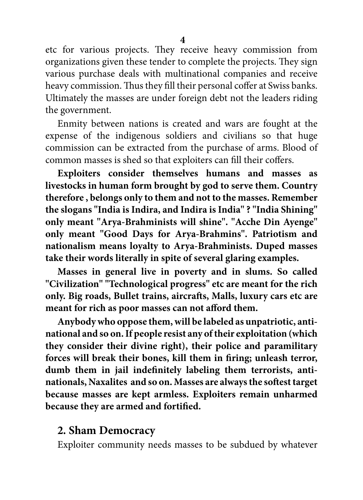etc for various projects. They receive heavy commission from organizations given these tender to complete the projects. They sign various purchase deals with multinational companies and receive heavy commission. Thus they fill their personal coffer at Swiss banks. Ultimately the masses are under foreign debt not the leaders riding the government.

Enmity between nations is created and wars are fought at the expense of the indigenous soldiers and civilians so that huge commission can be extracted from the purchase of arms. Blood of common masses is shed so that exploiters can fill their coffers.

**Exploiters consider themselves humans and masses as livestocks in human form brought by god to serve them. Country therefore , belongs only to them and not to the masses. Remember the slogans "India is Indira, and Indira is India" ? "India Shining" only meant "Arya-Brahminists will shine". "Acche Din Ayenge" only meant "Good Days for Arya-Brahmins". Patriotism and nationalism means loyalty to Arya-Brahminists. Duped masses take their words literally in spite of several glaring examples.**

**Masses in general live in poverty and in slums. So called "Civilization" "Technological progress" etc are meant for the rich only. Big roads, Bullet trains, aircrafts, Malls, luxury cars etc are meant for rich as poor masses can not afford them.**

**Anybody who oppose them, will be labeled as unpatriotic, antinational and so on. If people resist any of their exploitation (which they consider their divine right), their police and paramilitary forces will break their bones, kill them in firing; unleash terror, dumb them in jail indefinitely labeling them terrorists, antinationals, Naxalites and so on. Masses are always the softest target because masses are kept armless. Exploiters remain unharmed because they are armed and fortified.**

#### **2. Sham Democracy**

Exploiter community needs masses to be subdued by whatever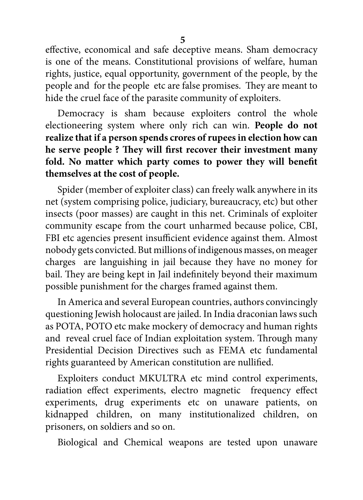effective, economical and safe deceptive means. Sham democracy is one of the means. Constitutional provisions of welfare, human rights, justice, equal opportunity, government of the people, by the people and for the people etc are false promises. They are meant to hide the cruel face of the parasite community of exploiters.

Democracy is sham because exploiters control the whole electioneering system where only rich can win. **People do not realize that if a person spends crores of rupees in election how can he serve people ? They will first recover their investment many fold. No matter which party comes to power they will benefit themselves at the cost of people.**

Spider (member of exploiter class) can freely walk anywhere in its net (system comprising police, judiciary, bureaucracy, etc) but other insects (poor masses) are caught in this net. Criminals of exploiter community escape from the court unharmed because police, CBI, FBI etc agencies present insufficient evidence against them. Almost nobody gets convicted. But millions of indigenous masses, on meager charges are languishing in jail because they have no money for bail. They are being kept in Jail indefinitely beyond their maximum possible punishment for the charges framed against them.

In America and several European countries, authors convincingly questioning Jewish holocaust are jailed. In India draconian laws such as POTA, POTO etc make mockery of democracy and human rights and reveal cruel face of Indian exploitation system. Through many Presidential Decision Directives such as FEMA etc fundamental rights guaranteed by American constitution are nullified.

Exploiters conduct MKULTRA etc mind control experiments, radiation effect experiments, electro magnetic frequency effect experiments, drug experiments etc on unaware patients, on kidnapped children, on many institutionalized children, on prisoners, on soldiers and so on.

Biological and Chemical weapons are tested upon unaware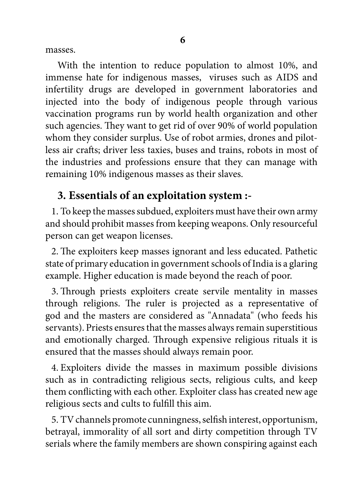masses.

With the intention to reduce population to almost 10%, and immense hate for indigenous masses, viruses such as AIDS and infertility drugs are developed in government laboratories and injected into the body of indigenous people through various vaccination programs run by world health organization and other such agencies. They want to get rid of over 90% of world population whom they consider surplus. Use of robot armies, drones and pilotless air crafts; driver less taxies, buses and trains, robots in most of the industries and professions ensure that they can manage with remaining 10% indigenous masses as their slaves.

#### **3. Essentials of an exploitation system :-**

1. To keep the masses subdued, exploiters must have their own army and should prohibit masses from keeping weapons. Only resourceful person can get weapon licenses.

2. The exploiters keep masses ignorant and less educated. Pathetic state of primary education in government schools of India is a glaring example. Higher education is made beyond the reach of poor.

3. Through priests exploiters create servile mentality in masses through religions. The ruler is projected as a representative of god and the masters are considered as "Annadata" (who feeds his servants). Priests ensures that the masses always remain superstitious and emotionally charged. Through expensive religious rituals it is ensured that the masses should always remain poor.

4. Exploiters divide the masses in maximum possible divisions such as in contradicting religious sects, religious cults, and keep them conflicting with each other. Exploiter class has created new age religious sects and cults to fulfill this aim.

5. TV channels promote cunningness, selfish interest, opportunism, betrayal, immorality of all sort and dirty competition through TV serials where the family members are shown conspiring against each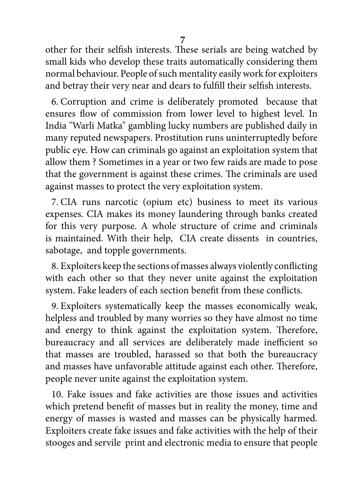other for their selfish interests. These serials are being watched by small kids who develop these traits automatically considering them normal behaviour. People of such mentality easily work for exploiters and betray their very near and dears to fulfill their selfish interests.

6. Corruption and crime is deliberately promoted because that ensures flow of commission from lower level to highest level. In India "Warli Matka" gambling lucky numbers are published daily in many reputed newspapers. Prostitution runs uninterruptedly before public eye. How can criminals go against an exploitation system that allow them ? Sometimes in a year or two few raids are made to pose that the government is against these crimes. The criminals are used against masses to protect the very exploitation system.

7. CIA runs narcotic (opium etc) business to meet its various expenses. CIA makes its money laundering through banks created for this very purpose. A whole structure of crime and criminals is maintained. With their help, CIA create dissents in countries, sabotage, and topple governments.

8. Exploiters keep the sections of masses always violently conflicting with each other so that they never unite against the exploitation system. Fake leaders of each section benefit from these conflicts.

9. Exploiters systematically keep the masses economically weak, helpless and troubled by many worries so they have almost no time and energy to think against the exploitation system. Therefore, bureaucracy and all services are deliberately made inefficient so that masses are troubled, harassed so that both the bureaucracy and masses have unfavorable attitude against each other. Therefore, people never unite against the exploitation system.

10. Fake issues and fake activities are those issues and activities which pretend benefit of masses but in reality the money, time and energy of masses is wasted and masses can be physically harmed. Exploiters create fake issues and fake activities with the help of their stooges and servile print and electronic media to ensure that people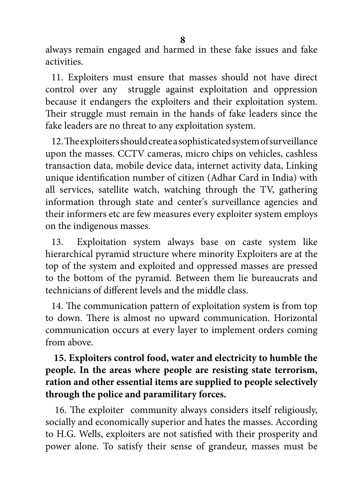always remain engaged and harmed in these fake issues and fake activities.

11. Exploiters must ensure that masses should not have direct control over any struggle against exploitation and oppression because it endangers the exploiters and their exploitation system. Their struggle must remain in the hands of fake leaders since the fake leaders are no threat to any exploitation system.

12. The exploiters should create a sophisticated system of surveillance upon the masses. CCTV cameras, micro chips on vehicles, cashless transaction data, mobile device data, internet activity data, Linking unique identification number of citizen (Adhar Card in India) with all services, satellite watch, watching through the TV, gathering information through state and center's surveillance agencies and their informers etc are few measures every exploiter system employs on the indigenous masses.

13. Exploitation system always base on caste system like hierarchical pyramid structure where minority Exploiters are at the top of the system and exploited and oppressed masses are pressed to the bottom of the pyramid. Between them lie bureaucrats and technicians of different levels and the middle class.

14. The communication pattern of exploitation system is from top to down. There is almost no upward communication. Horizontal communication occurs at every layer to implement orders coming from above.

#### **15. Exploiters control food, water and electricity to humble the people. In the areas where people are resisting state terrorism, ration and other essential items are supplied to people selectively through the police and paramilitary forces.**

 16. The exploiter community always considers itself religiously, socially and economically superior and hates the masses. According to H.G. Wells, exploiters are not satisfied with their prosperity and power alone. To satisfy their sense of grandeur, masses must be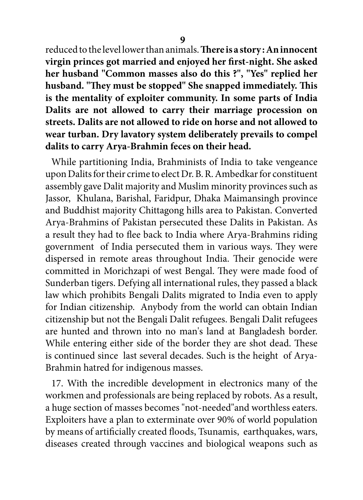reduced to the level lower than animals. **There is a story : An innocent virgin princes got married and enjoyed her first-night. She asked her husband "Common masses also do this ?", "Yes" replied her husband. "They must be stopped" She snapped immediately. This is the mentality of exploiter community. In some parts of India Dalits are not allowed to carry their marriage procession on streets. Dalits are not allowed to ride on horse and not allowed to wear turban. Dry lavatory system deliberately prevails to compel dalits to carry Arya-Brahmin feces on their head.** 

While partitioning India, Brahminists of India to take vengeance upon Dalits for their crime to elect Dr. B. R. Ambedkar for constituent assembly gave Dalit majority and Muslim minority provinces such as Jassor, Khulana, Barishal, Faridpur, Dhaka Maimansingh province and Buddhist majority Chittagong hills area to Pakistan. Converted Arya-Brahmins of Pakistan persecuted these Dalits in Pakistan. As a result they had to flee back to India where Arya-Brahmins riding government of India persecuted them in various ways. They were dispersed in remote areas throughout India. Their genocide were committed in Morichzapi of west Bengal. They were made food of Sunderban tigers. Defying all international rules, they passed a black law which prohibits Bengali Dalits migrated to India even to apply for Indian citizenship. Anybody from the world can obtain Indian citizenship but not the Bengali Dalit refugees. Bengali Dalit refugees are hunted and thrown into no man's land at Bangladesh border. While entering either side of the border they are shot dead. These is continued since last several decades. Such is the height of Arya-Brahmin hatred for indigenous masses.

17. With the incredible development in electronics many of the workmen and professionals are being replaced by robots. As a result, a huge section of masses becomes "not-needed"and worthless eaters. Exploiters have a plan to exterminate over 90% of world population by means of artificially created floods, Tsunamis, earthquakes, wars, diseases created through vaccines and biological weapons such as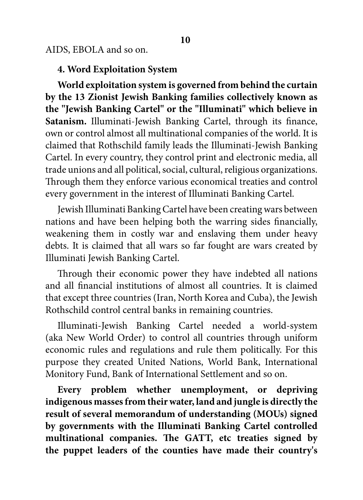#### **4. Word Exploitation System**

**World exploitation system is governed from behind the curtain by the 13 Zionist Jewish Banking families collectively known as the "Jewish Banking Cartel" or the "Illuminati" which believe in Satanism.** Illuminati-Jewish Banking Cartel, through its finance, own or control almost all multinational companies of the world. It is claimed that Rothschild family leads the Illuminati-Jewish Banking Cartel. In every country, they control print and electronic media, all trade unions and all political, social, cultural, religious organizations. Through them they enforce various economical treaties and control every government in the interest of Illuminati Banking Cartel.

Jewish Illuminati Banking Cartel have been creating wars between nations and have been helping both the warring sides financially, weakening them in costly war and enslaving them under heavy debts. It is claimed that all wars so far fought are wars created by Illuminati Jewish Banking Cartel.

Through their economic power they have indebted all nations and all financial institutions of almost all countries. It is claimed that except three countries (Iran, North Korea and Cuba), the Jewish Rothschild control central banks in remaining countries.

Illuminati-Jewish Banking Cartel needed a world-system (aka New World Order) to control all countries through uniform economic rules and regulations and rule them politically. For this purpose they created United Nations, World Bank, International Monitory Fund, Bank of International Settlement and so on.

**Every problem whether unemployment, or depriving indigenous masses from their water, land and jungle is directly the result of several memorandum of understanding (MOUs) signed by governments with the Illuminati Banking Cartel controlled multinational companies. The GATT, etc treaties signed by the puppet leaders of the counties have made their country's**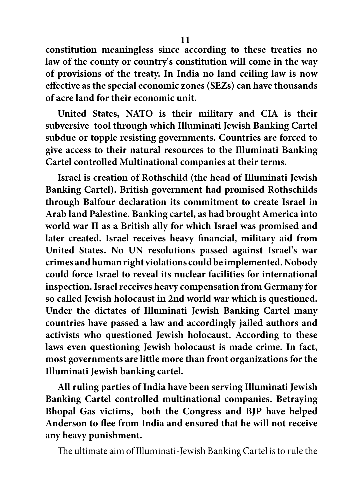**constitution meaningless since according to these treaties no law of the county or country's constitution will come in the way of provisions of the treaty. In India no land ceiling law is now effective as the special economic zones (SEZs) can have thousands of acre land for their economic unit.** 

**United States, NATO is their military and CIA is their subversive tool through which Illuminati Jewish Banking Cartel subdue or topple resisting governments. Countries are forced to give access to their natural resources to the Illuminati Banking Cartel controlled Multinational companies at their terms.**

**Israel is creation of Rothschild (the head of Illuminati Jewish Banking Cartel). British government had promised Rothschilds through Balfour declaration its commitment to create Israel in Arab land Palestine. Banking cartel, as had brought America into world war II as a British ally for which Israel was promised and later created. Israel receives heavy financial, military aid from United States. No UN resolutions passed against Israel's war crimes and human right violations could be implemented. Nobody could force Israel to reveal its nuclear facilities for international inspection. Israel receives heavy compensation from Germany for so called Jewish holocaust in 2nd world war which is questioned. Under the dictates of Illuminati Jewish Banking Cartel many countries have passed a law and accordingly jailed authors and activists who questioned Jewish holocaust. According to these laws even questioning Jewish holocaust is made crime. In fact, most governments are little more than front organizations for the Illuminati Jewish banking cartel.**

**All ruling parties of India have been serving Illuminati Jewish Banking Cartel controlled multinational companies. Betraying Bhopal Gas victims, both the Congress and BJP have helped Anderson to flee from India and ensured that he will not receive any heavy punishment.**

The ultimate aim of Illuminati-Jewish Banking Cartel is to rule the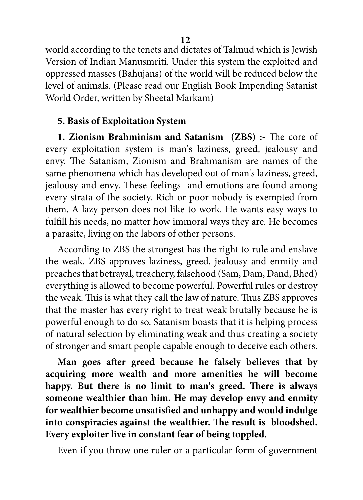**12**

world according to the tenets and dictates of Talmud which is Jewish Version of Indian Manusmriti. Under this system the exploited and oppressed masses (Bahujans) of the world will be reduced below the level of animals. (Please read our English Book Impending Satanist World Order, written by Sheetal Markam)

#### **5. Basis of Exploitation System**

**1. Zionism Brahminism and Satanism (ZBS) :-** The core of every exploitation system is man's laziness, greed, jealousy and envy. The Satanism, Zionism and Brahmanism are names of the same phenomena which has developed out of man's laziness, greed, jealousy and envy. These feelings and emotions are found among every strata of the society. Rich or poor nobody is exempted from them. A lazy person does not like to work. He wants easy ways to fulfill his needs, no matter how immoral ways they are. He becomes a parasite, living on the labors of other persons.

According to ZBS the strongest has the right to rule and enslave the weak. ZBS approves laziness, greed, jealousy and enmity and preaches that betrayal, treachery, falsehood (Sam, Dam, Dand, Bhed) everything is allowed to become powerful. Powerful rules or destroy the weak. This is what they call the law of nature. Thus ZBS approves that the master has every right to treat weak brutally because he is powerful enough to do so. Satanism boasts that it is helping process of natural selection by eliminating weak and thus creating a society of stronger and smart people capable enough to deceive each others.

**Man goes after greed because he falsely believes that by acquiring more wealth and more amenities he will become happy. But there is no limit to man's greed. There is always someone wealthier than him. He may develop envy and enmity for wealthier become unsatisfied and unhappy and would indulge into conspiracies against the wealthier. The result is bloodshed. Every exploiter live in constant fear of being toppled.**

Even if you throw one ruler or a particular form of government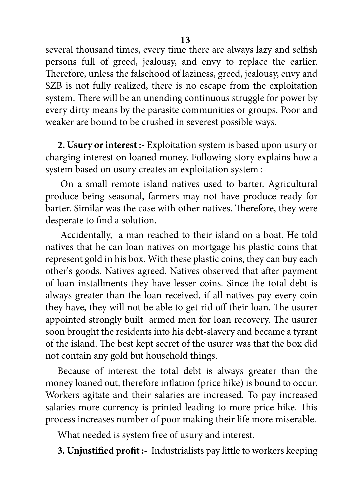several thousand times, every time there are always lazy and selfish persons full of greed, jealousy, and envy to replace the earlier. Therefore, unless the falsehood of laziness, greed, jealousy, envy and SZB is not fully realized, there is no escape from the exploitation system. There will be an unending continuous struggle for power by every dirty means by the parasite communities or groups. Poor and weaker are bound to be crushed in severest possible ways.

**2. Usury or interest :-** Exploitation system is based upon usury or charging interest on loaned money. Following story explains how a system based on usury creates an exploitation system :-

On a small remote island natives used to barter. Agricultural produce being seasonal, farmers may not have produce ready for barter. Similar was the case with other natives. Therefore, they were desperate to find a solution.

Accidentally, a man reached to their island on a boat. He told natives that he can loan natives on mortgage his plastic coins that represent gold in his box. With these plastic coins, they can buy each other's goods. Natives agreed. Natives observed that after payment of loan installments they have lesser coins. Since the total debt is always greater than the loan received, if all natives pay every coin they have, they will not be able to get rid off their loan. The usurer appointed strongly built armed men for loan recovery. The usurer soon brought the residents into his debt-slavery and became a tyrant of the island. The best kept secret of the usurer was that the box did not contain any gold but household things.

Because of interest the total debt is always greater than the money loaned out, therefore inflation (price hike) is bound to occur. Workers agitate and their salaries are increased. To pay increased salaries more currency is printed leading to more price hike. This process increases number of poor making their life more miserable.

What needed is system free of usury and interest.

**3. Unjustified profit :-** Industrialists pay little to workers keeping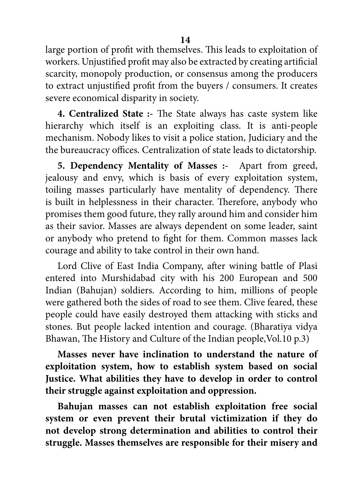large portion of profit with themselves. This leads to exploitation of workers. Unjustified profit may also be extracted by creating artificial scarcity, monopoly production, or consensus among the producers to extract unjustified profit from the buyers / consumers. It creates severe economical disparity in society.

**4. Centralized State :-** The State always has caste system like hierarchy which itself is an exploiting class. It is anti-people mechanism. Nobody likes to visit a police station, Judiciary and the the bureaucracy offices. Centralization of state leads to dictatorship.

**5. Dependency Mentality of Masses :-** Apart from greed, jealousy and envy, which is basis of every exploitation system, toiling masses particularly have mentality of dependency. There is built in helplessness in their character. Therefore, anybody who promises them good future, they rally around him and consider him as their savior. Masses are always dependent on some leader, saint or anybody who pretend to fight for them. Common masses lack courage and ability to take control in their own hand.

Lord Clive of East India Company, after wining battle of Plasi entered into Murshidabad city with his 200 European and 500 Indian (Bahujan) soldiers. According to him, millions of people were gathered both the sides of road to see them. Clive feared, these people could have easily destroyed them attacking with sticks and stones. But people lacked intention and courage. (Bharatiya vidya Bhawan, The History and Culture of the Indian people,Vol.10 p.3)

**Masses never have inclination to understand the nature of exploitation system, how to establish system based on social Justice. What abilities they have to develop in order to control their struggle against exploitation and oppression.**

**Bahujan masses can not establish exploitation free social system or even prevent their brutal victimization if they do not develop strong determination and abilities to control their struggle. Masses themselves are responsible for their misery and**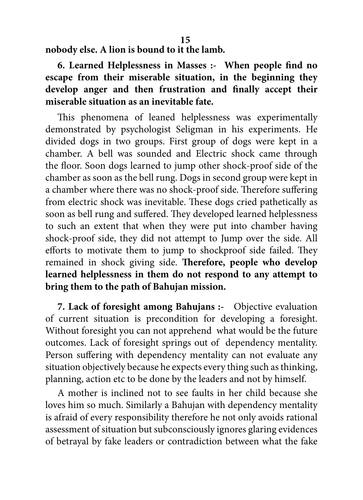**nobody else. A lion is bound to it the lamb.**

**6. Learned Helplessness in Masses :- When people find no escape from their miserable situation, in the beginning they develop anger and then frustration and finally accept their miserable situation as an inevitable fate.**

This phenomena of leaned helplessness was experimentally demonstrated by psychologist Seligman in his experiments. He divided dogs in two groups. First group of dogs were kept in a chamber. A bell was sounded and Electric shock came through the floor. Soon dogs learned to jump other shock-proof side of the chamber as soon as the bell rung. Dogs in second group were kept in a chamber where there was no shock-proof side. Therefore suffering from electric shock was inevitable. These dogs cried pathetically as soon as bell rung and suffered. They developed learned helplessness to such an extent that when they were put into chamber having shock-proof side, they did not attempt to Jump over the side. All efforts to motivate them to jump to shockproof side failed. They remained in shock giving side. **Therefore, people who develop learned helplessness in them do not respond to any attempt to bring them to the path of Bahujan mission.** 

**7. Lack of foresight among Bahujans :-** Objective evaluation of current situation is precondition for developing a foresight. Without foresight you can not apprehend what would be the future outcomes. Lack of foresight springs out of dependency mentality. Person suffering with dependency mentality can not evaluate any situation objectively because he expects every thing such as thinking, planning, action etc to be done by the leaders and not by himself.

A mother is inclined not to see faults in her child because she loves him so much. Similarly a Bahujan with dependency mentality is afraid of every responsibility therefore he not only avoids rational assessment of situation but subconsciously ignores glaring evidences of betrayal by fake leaders or contradiction between what the fake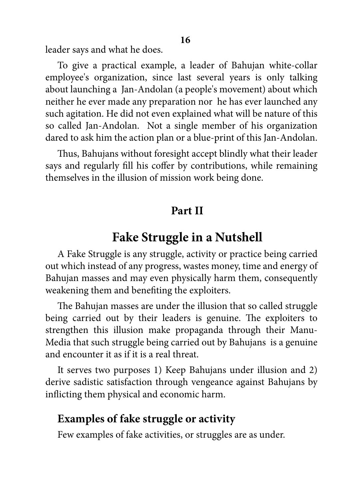leader says and what he does.

To give a practical example, a leader of Bahujan white-collar employee's organization, since last several years is only talking about launching a Jan-Andolan (a people's movement) about which neither he ever made any preparation nor he has ever launched any such agitation. He did not even explained what will be nature of this so called Jan-Andolan. Not a single member of his organization dared to ask him the action plan or a blue-print of this Jan-Andolan.

Thus, Bahujans without foresight accept blindly what their leader says and regularly fill his coffer by contributions, while remaining themselves in the illusion of mission work being done.

#### **Part II**

## **Fake Struggle in a Nutshell**

A Fake Struggle is any struggle, activity or practice being carried out which instead of any progress, wastes money, time and energy of Bahujan masses and may even physically harm them, consequently weakening them and benefiting the exploiters.

The Bahujan masses are under the illusion that so called struggle being carried out by their leaders is genuine. The exploiters to strengthen this illusion make propaganda through their Manu-Media that such struggle being carried out by Bahujans is a genuine and encounter it as if it is a real threat.

It serves two purposes 1) Keep Bahujans under illusion and 2) derive sadistic satisfaction through vengeance against Bahujans by inflicting them physical and economic harm.

#### **Examples of fake struggle or activity**

Few examples of fake activities, or struggles are as under.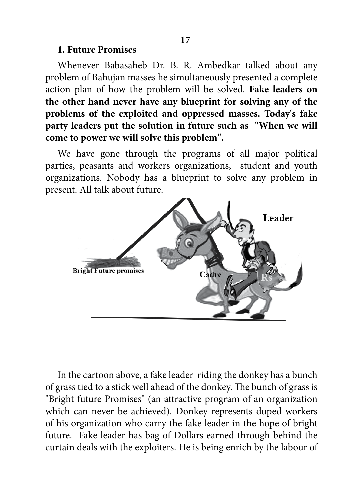#### **1. Future Promises**

Whenever Babasaheb Dr. B. R. Ambedkar talked about any problem of Bahujan masses he simultaneously presented a complete action plan of how the problem will be solved. **Fake leaders on the other hand never have any blueprint for solving any of the problems of the exploited and oppressed masses. Today's fake party leaders put the solution in future such as "When we will come to power we will solve this problem".** 

We have gone through the programs of all major political parties, peasants and workers organizations, student and youth organizations. Nobody has a blueprint to solve any problem in present. All talk about future.



In the cartoon above, a fake leader riding the donkey has a bunch of grass tied to a stick well ahead of the donkey. The bunch of grass is "Bright future Promises" (an attractive program of an organization which can never be achieved). Donkey represents duped workers of his organization who carry the fake leader in the hope of bright future. Fake leader has bag of Dollars earned through behind the curtain deals with the exploiters. He is being enrich by the labour of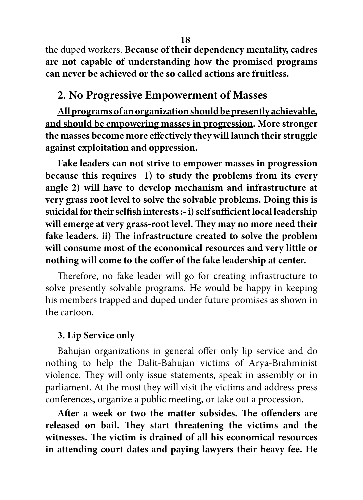the duped workers. **Because of their dependency mentality, cadres are not capable of understanding how the promised programs can never be achieved or the so called actions are fruitless.**

#### **2. No Progressive Empowerment of Masses**

**All programs of an organization should be presently achievable, and should be empowering masses in progression. More stronger the masses become more effectively they will launch their struggle against exploitation and oppression.** 

**Fake leaders can not strive to empower masses in progression because this requires 1) to study the problems from its every angle 2) will have to develop mechanism and infrastructure at very grass root level to solve the solvable problems. Doing this is suicidal for their selfish interests :- i) self sufficient local leadership will emerge at very grass-root level. They may no more need their fake leaders. ii) The infrastructure created to solve the problem will consume most of the economical resources and very little or nothing will come to the coffer of the fake leadership at center.** 

Therefore, no fake leader will go for creating infrastructure to solve presently solvable programs. He would be happy in keeping his members trapped and duped under future promises as shown in the cartoon.

#### **3. Lip Service only**

Bahujan organizations in general offer only lip service and do nothing to help the Dalit-Bahujan victims of Arya-Brahminist violence. They will only issue statements, speak in assembly or in parliament. At the most they will visit the victims and address press conferences, organize a public meeting, or take out a procession.

**After a week or two the matter subsides. The offenders are released on bail. They start threatening the victims and the witnesses. The victim is drained of all his economical resources in attending court dates and paying lawyers their heavy fee. He**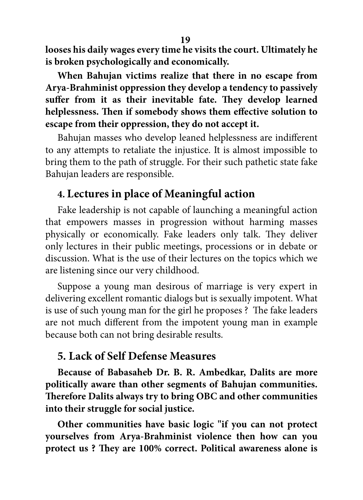**looses his daily wages every time he visits the court. Ultimately he is broken psychologically and economically.**

**When Bahujan victims realize that there in no escape from Arya-Brahminist oppression they develop a tendency to passively suffer from it as their inevitable fate. They develop learned helplessness. Then if somebody shows them effective solution to escape from their oppression, they do not accept it.** 

Bahujan masses who develop leaned helplessness are indifferent to any attempts to retaliate the injustice. It is almost impossible to bring them to the path of struggle. For their such pathetic state fake Bahujan leaders are responsible.

#### **4. Lectures in place of Meaningful action**

Fake leadership is not capable of launching a meaningful action that empowers masses in progression without harming masses physically or economically. Fake leaders only talk. They deliver only lectures in their public meetings, processions or in debate or discussion. What is the use of their lectures on the topics which we are listening since our very childhood.

Suppose a young man desirous of marriage is very expert in delivering excellent romantic dialogs but is sexually impotent. What is use of such young man for the girl he proposes ? The fake leaders are not much different from the impotent young man in example because both can not bring desirable results.

#### **5. Lack of Self Defense Measures**

**Because of Babasaheb Dr. B. R. Ambedkar, Dalits are more politically aware than other segments of Bahujan communities. Therefore Dalits always try to bring OBC and other communities into their struggle for social justice.** 

**Other communities have basic logic "if you can not protect yourselves from Arya-Brahminist violence then how can you protect us ? They are 100% correct. Political awareness alone is**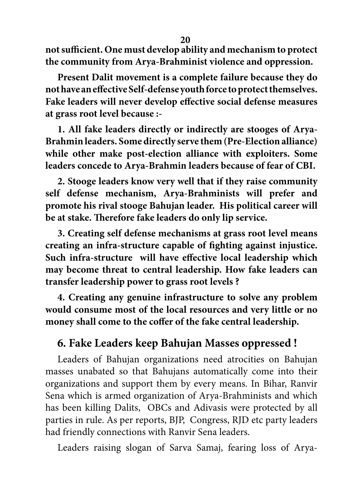**not sufficient. One must develop ability and mechanism to protect the community from Arya-Brahminist violence and oppression.** 

**Present Dalit movement is a complete failure because they do not have an effective Self-defense youth force to protect themselves. Fake leaders will never develop effective social defense measures at grass root level because :-** 

**1. All fake leaders directly or indirectly are stooges of Arya-Brahmin leaders. Some directly serve them (Pre-Election alliance) while other make post-election alliance with exploiters. Some leaders concede to Arya-Brahmin leaders because of fear of CBI.**

**2. Stooge leaders know very well that if they raise community self defense mechanism, Arya-Brahminists will prefer and promote his rival stooge Bahujan leader. His political career will be at stake. Therefore fake leaders do only lip service.**

**3. Creating self defense mechanisms at grass root level means creating an infra-structure capable of fighting against injustice. Such infra-structure will have effective local leadership which may become threat to central leadership. How fake leaders can transfer leadership power to grass root levels ?**

**4. Creating any genuine infrastructure to solve any problem would consume most of the local resources and very little or no money shall come to the coffer of the fake central leadership.** 

## **6. Fake Leaders keep Bahujan Masses oppressed !**

Leaders of Bahujan organizations need atrocities on Bahujan masses unabated so that Bahujans automatically come into their organizations and support them by every means. In Bihar, Ranvir Sena which is armed organization of Arya-Brahminists and which has been killing Dalits, OBCs and Adivasis were protected by all parties in rule. As per reports, BJP, Congress, RJD etc party leaders had friendly connections with Ranvir Sena leaders.

Leaders raising slogan of Sarva Samaj, fearing loss of Arya-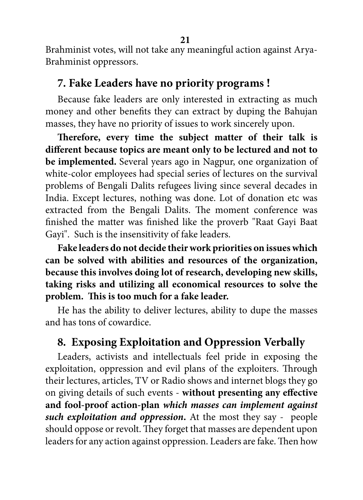Brahminist votes, will not take any meaningful action against Arya-Brahminist oppressors.

#### **7. Fake Leaders have no priority programs !**

Because fake leaders are only interested in extracting as much money and other benefits they can extract by duping the Bahujan masses, they have no priority of issues to work sincerely upon.

**Therefore, every time the subject matter of their talk is different because topics are meant only to be lectured and not to be implemented.** Several years ago in Nagpur, one organization of white-color employees had special series of lectures on the survival problems of Bengali Dalits refugees living since several decades in India. Except lectures, nothing was done. Lot of donation etc was extracted from the Bengali Dalits. The moment conference was finished the matter was finished like the proverb "Raat Gayi Baat Gayi". Such is the insensitivity of fake leaders.

**Fake leaders do not decide their work priorities on issues which can be solved with abilities and resources of the organization, because this involves doing lot of research, developing new skills, taking risks and utilizing all economical resources to solve the problem. This is too much for a fake leader.** 

He has the ability to deliver lectures, ability to dupe the masses and has tons of cowardice.

### **8. Exposing Exploitation and Oppression Verbally**

Leaders, activists and intellectuals feel pride in exposing the exploitation, oppression and evil plans of the exploiters. Through their lectures, articles, TV or Radio shows and internet blogs they go on giving details of such events - **without presenting any effective and fool-proof action-plan** *which masses can implement against such exploitation and oppression***.** At the most they say - people should oppose or revolt. They forget that masses are dependent upon leaders for any action against oppression. Leaders are fake. Then how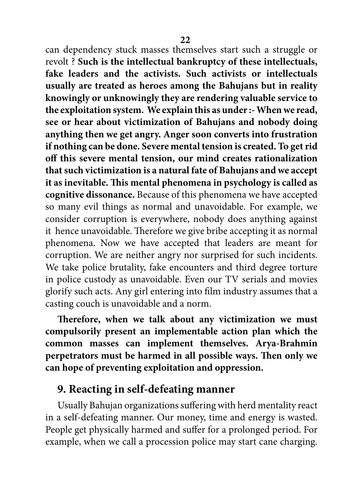can dependency stuck masses themselves start such a struggle or revolt ? **Such is the intellectual bankruptcy of these intellectuals, fake leaders and the activists. Such activists or intellectuals usually are treated as heroes among the Bahujans but in reality knowingly or unknowingly they are rendering valuable service to the exploitation system. We explain this as under :- When we read, see or hear about victimization of Bahujans and nobody doing anything then we get angry. Anger soon converts into frustration if nothing can be done. Severe mental tension is created. To get rid off this severe mental tension, our mind creates rationalization that such victimization is a natural fate of Bahujans and we accept it as inevitable. This mental phenomena in psychology is called as cognitive dissonance.** Because of this phenomena we have accepted so many evil things as normal and unavoidable. For example, we consider corruption is everywhere, nobody does anything against it hence unavoidable. Therefore we give bribe accepting it as normal phenomena. Now we have accepted that leaders are meant for corruption. We are neither angry nor surprised for such incidents. We take police brutality, fake encounters and third degree torture in police custody as unavoidable. Even our TV serials and movies glorify such acts. Any girl entering into film industry assumes that a casting couch is unavoidable and a norm.

**Therefore, when we talk about any victimization we must compulsorily present an implementable action plan which the common masses can implement themselves. Arya-Brahmin perpetrators must be harmed in all possible ways. Then only we can hope of preventing exploitation and oppression.**

#### **9. Reacting in self-defeating manner**

Usually Bahujan organizations suffering with herd mentality react in a self-defeating manner. Our money, time and energy is wasted. People get physically harmed and suffer for a prolonged period. For example, when we call a procession police may start cane charging.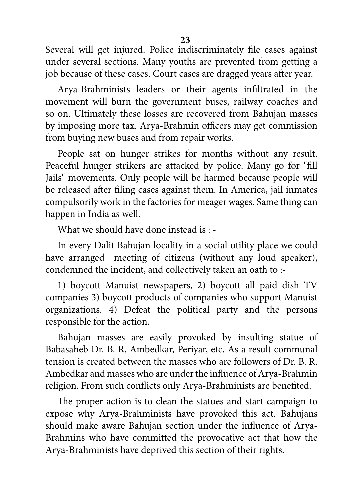Several will get injured. Police indiscriminately file cases against under several sections. Many youths are prevented from getting a job because of these cases. Court cases are dragged years after year.

Arya-Brahminists leaders or their agents infiltrated in the movement will burn the government buses, railway coaches and so on. Ultimately these losses are recovered from Bahujan masses by imposing more tax. Arya-Brahmin officers may get commission from buying new buses and from repair works.

People sat on hunger strikes for months without any result. Peaceful hunger strikers are attacked by police. Many go for "fill Jails" movements. Only people will be harmed because people will be released after filing cases against them. In America, jail inmates compulsorily work in the factories for meager wages. Same thing can happen in India as well.

What we should have done instead is : -

In every Dalit Bahujan locality in a social utility place we could have arranged meeting of citizens (without any loud speaker), condemned the incident, and collectively taken an oath to :-

1) boycott Manuist newspapers, 2) boycott all paid dish TV companies 3) boycott products of companies who support Manuist organizations. 4) Defeat the political party and the persons responsible for the action.

Bahujan masses are easily provoked by insulting statue of Babasaheb Dr. B. R. Ambedkar, Periyar, etc. As a result communal tension is created between the masses who are followers of Dr. B. R. Ambedkar and masses who are under the influence of Arya-Brahmin religion. From such conflicts only Arya-Brahminists are benefited.

The proper action is to clean the statues and start campaign to expose why Arya-Brahminists have provoked this act. Bahujans should make aware Bahujan section under the influence of Arya-Brahmins who have committed the provocative act that how the Arya-Brahminists have deprived this section of their rights.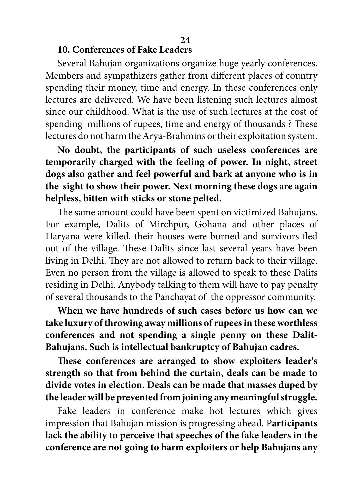#### **10. Conferences of Fake Leaders**

Several Bahujan organizations organize huge yearly conferences. Members and sympathizers gather from different places of country spending their money, time and energy. In these conferences only lectures are delivered. We have been listening such lectures almost since our childhood. What is the use of such lectures at the cost of spending millions of rupees, time and energy of thousands ? These lectures do not harm the Arya-Brahmins or their exploitation system.

**No doubt, the participants of such useless conferences are temporarily charged with the feeling of power. In night, street dogs also gather and feel powerful and bark at anyone who is in the sight to show their power. Next morning these dogs are again helpless, bitten with sticks or stone pelted.**

The same amount could have been spent on victimized Bahujans. For example, Dalits of Mirchpur, Gohana and other places of Haryana were killed, their houses were burned and survivors fled out of the village. These Dalits since last several years have been living in Delhi. They are not allowed to return back to their village. Even no person from the village is allowed to speak to these Dalits residing in Delhi. Anybody talking to them will have to pay penalty of several thousands to the Panchayat of the oppressor community.

**When we have hundreds of such cases before us how can we take luxury of throwing away millions of rupees in these worthless conferences and not spending a single penny on these Dalit-Bahujans. Such is intellectual bankruptcy of Bahujan cadres.** 

**These conferences are arranged to show exploiters leader's strength so that from behind the curtain, deals can be made to divide votes in election. Deals can be made that masses duped by the leader will be prevented from joining any meaningful struggle.**

Fake leaders in conference make hot lectures which gives impression that Bahujan mission is progressing ahead. P**articipants lack the ability to perceive that speeches of the fake leaders in the conference are not going to harm exploiters or help Bahujans any**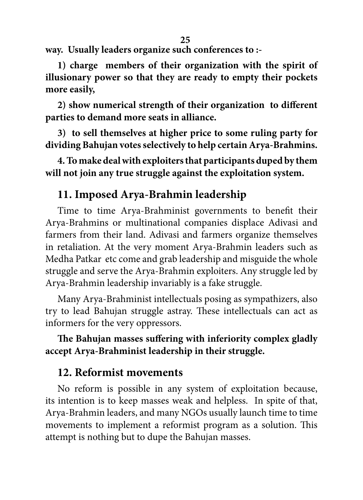**25**

**way. Usually leaders organize such conferences to :-** 

**1) charge members of their organization with the spirit of illusionary power so that they are ready to empty their pockets more easily,**

**2) show numerical strength of their organization to different parties to demand more seats in alliance.**

**3) to sell themselves at higher price to some ruling party for dividing Bahujan votes selectively to help certain Arya-Brahmins.** 

**4. To make deal with exploiters that participants duped by them will not join any true struggle against the exploitation system.**

### **11. Imposed Arya-Brahmin leadership**

Time to time Arya-Brahminist governments to benefit their Arya-Brahmins or multinational companies displace Adivasi and farmers from their land. Adivasi and farmers organize themselves in retaliation. At the very moment Arya-Brahmin leaders such as Medha Patkar etc come and grab leadership and misguide the whole struggle and serve the Arya-Brahmin exploiters. Any struggle led by Arya-Brahmin leadership invariably is a fake struggle.

Many Arya-Brahminist intellectuals posing as sympathizers, also try to lead Bahujan struggle astray. These intellectuals can act as informers for the very oppressors.

#### **The Bahujan masses suffering with inferiority complex gladly accept Arya-Brahminist leadership in their struggle.**

### **12. Reformist movements**

No reform is possible in any system of exploitation because, its intention is to keep masses weak and helpless. In spite of that, Arya-Brahmin leaders, and many NGOs usually launch time to time movements to implement a reformist program as a solution. This attempt is nothing but to dupe the Bahujan masses.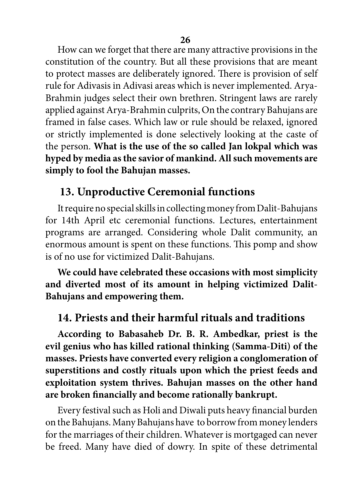How can we forget that there are many attractive provisions in the constitution of the country. But all these provisions that are meant to protect masses are deliberately ignored. There is provision of self rule for Adivasis in Adivasi areas which is never implemented. Arya-Brahmin judges select their own brethren. Stringent laws are rarely applied against Arya-Brahmin culprits, On the contrary Bahujans are framed in false cases. Which law or rule should be relaxed, ignored or strictly implemented is done selectively looking at the caste of the person. **What is the use of the so called Jan lokpal which was hyped by media as the savior of mankind. All such movements are simply to fool the Bahujan masses.**

### **13. Unproductive Ceremonial functions**

It require no special skills in collecting money from Dalit-Bahujans for 14th April etc ceremonial functions. Lectures, entertainment programs are arranged. Considering whole Dalit community, an enormous amount is spent on these functions. This pomp and show is of no use for victimized Dalit-Bahujans.

**We could have celebrated these occasions with most simplicity and diverted most of its amount in helping victimized Dalit-Bahujans and empowering them.**

## **14. Priests and their harmful rituals and traditions**

**According to Babasaheb Dr. B. R. Ambedkar, priest is the evil genius who has killed rational thinking (Samma-Diti) of the masses. Priests have converted every religion a conglomeration of superstitions and costly rituals upon which the priest feeds and exploitation system thrives. Bahujan masses on the other hand are broken financially and become rationally bankrupt.**

Every festival such as Holi and Diwali puts heavy financial burden on the Bahujans. Many Bahujans have to borrow from money lenders for the marriages of their children. Whatever is mortgaged can never be freed. Many have died of dowry. In spite of these detrimental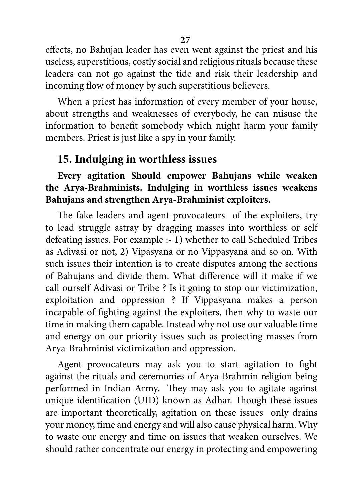effects, no Bahujan leader has even went against the priest and his useless, superstitious, costly social and religious rituals because these leaders can not go against the tide and risk their leadership and incoming flow of money by such superstitious believers.

When a priest has information of every member of your house, about strengths and weaknesses of everybody, he can misuse the information to benefit somebody which might harm your family members. Priest is just like a spy in your family.

### **15. Indulging in worthless issues**

**Every agitation Should empower Bahujans while weaken the Arya-Brahminists. Indulging in worthless issues weakens Bahujans and strengthen Arya-Brahminist exploiters.**

The fake leaders and agent provocateurs of the exploiters, try to lead struggle astray by dragging masses into worthless or self defeating issues. For example :- 1) whether to call Scheduled Tribes as Adivasi or not, 2) Vipasyana or no Vippasyana and so on. With such issues their intention is to create disputes among the sections of Bahujans and divide them. What difference will it make if we call ourself Adivasi or Tribe ? Is it going to stop our victimization, exploitation and oppression ? If Vippasyana makes a person incapable of fighting against the exploiters, then why to waste our time in making them capable. Instead why not use our valuable time and energy on our priority issues such as protecting masses from Arya-Brahminist victimization and oppression.

Agent provocateurs may ask you to start agitation to fight against the rituals and ceremonies of Arya-Brahmin religion being performed in Indian Army. They may ask you to agitate against unique identification (UID) known as Adhar. Though these issues are important theoretically, agitation on these issues only drains your money, time and energy and will also cause physical harm. Why to waste our energy and time on issues that weaken ourselves. We should rather concentrate our energy in protecting and empowering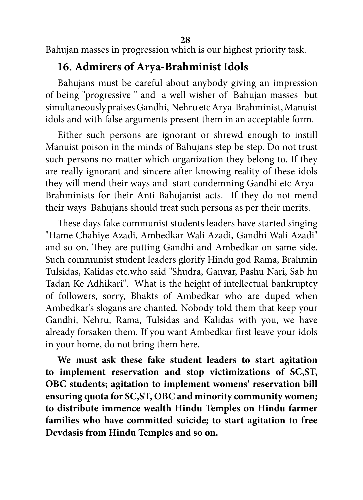Bahujan masses in progression which is our highest priority task.

## **16. Admirers of Arya-Brahminist Idols**

Bahujans must be careful about anybody giving an impression of being "progressive " and a well wisher of Bahujan masses but simultaneously praises Gandhi, Nehru etc Arya-Brahminist, Manuist idols and with false arguments present them in an acceptable form.

Either such persons are ignorant or shrewd enough to instill Manuist poison in the minds of Bahujans step be step. Do not trust such persons no matter which organization they belong to. If they are really ignorant and sincere after knowing reality of these idols they will mend their ways and start condemning Gandhi etc Arya-Brahminists for their Anti-Bahujanist acts. If they do not mend their ways Bahujans should treat such persons as per their merits.

These days fake communist students leaders have started singing "Hame Chahiye Azadi, Ambedkar Wali Azadi, Gandhi Wali Azadi" and so on. They are putting Gandhi and Ambedkar on same side. Such communist student leaders glorify Hindu god Rama, Brahmin Tulsidas, Kalidas etc.who said "Shudra, Ganvar, Pashu Nari, Sab hu Tadan Ke Adhikari". What is the height of intellectual bankruptcy of followers, sorry, Bhakts of Ambedkar who are duped when Ambedkar's slogans are chanted. Nobody told them that keep your Gandhi, Nehru, Rama, Tulsidas and Kalidas with you, we have already forsaken them. If you want Ambedkar first leave your idols in your home, do not bring them here.

**We must ask these fake student leaders to start agitation to implement reservation and stop victimizations of SC,ST, OBC students; agitation to implement womens' reservation bill ensuring quota for SC,ST, OBC and minority community women; to distribute immence wealth Hindu Temples on Hindu farmer families who have committed suicide; to start agitation to free Devdasis from Hindu Temples and so on.**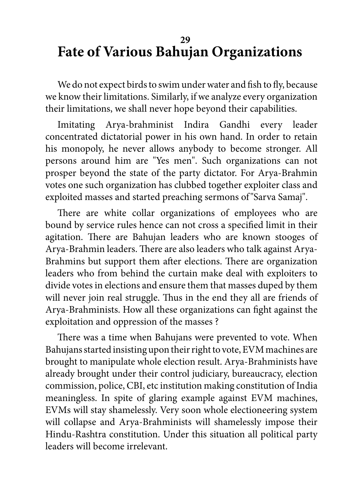#### **29 Fate of Various Bahujan Organizations**

We do not expect birds to swim under water and fish to fly, because we know their limitations. Similarly, if we analyze every organization their limitations, we shall never hope beyond their capabilities.

Imitating Arya-brahminist Indira Gandhi every leader concentrated dictatorial power in his own hand. In order to retain his monopoly, he never allows anybody to become stronger. All persons around him are "Yes men". Such organizations can not prosper beyond the state of the party dictator. For Arya-Brahmin votes one such organization has clubbed together exploiter class and exploited masses and started preaching sermons of "Sarva Samaj".

There are white collar organizations of employees who are bound by service rules hence can not cross a specified limit in their agitation. There are Bahujan leaders who are known stooges of Arya-Brahmin leaders. There are also leaders who talk against Arya-Brahmins but support them after elections. There are organization leaders who from behind the curtain make deal with exploiters to divide votes in elections and ensure them that masses duped by them will never join real struggle. Thus in the end they all are friends of Arya-Brahminists. How all these organizations can fight against the exploitation and oppression of the masses ?

There was a time when Bahujans were prevented to vote. When Bahujans started insisting upon their right to vote, EVM machines are brought to manipulate whole election result. Arya-Brahminists have already brought under their control judiciary, bureaucracy, election commission, police, CBI, etc institution making constitution of India meaningless. In spite of glaring example against EVM machines, EVMs will stay shamelessly. Very soon whole electioneering system will collapse and Arya-Brahminists will shamelessly impose their Hindu-Rashtra constitution. Under this situation all political party leaders will become irrelevant.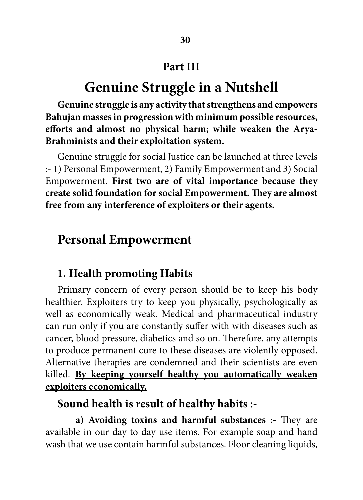### **Part III**

# **Genuine Struggle in a Nutshell**

**Genuine struggle is any activity that strengthens and empowers Bahujan masses in progression with minimum possible resources, efforts and almost no physical harm; while weaken the Arya-Brahminists and their exploitation system.**

Genuine struggle for social Justice can be launched at three levels :- 1) Personal Empowerment, 2) Family Empowerment and 3) Social Empowerment. **First two are of vital importance because they create solid foundation for social Empowerment. They are almost free from any interference of exploiters or their agents.**

### **Personal Empowerment**

#### **1. Health promoting Habits**

Primary concern of every person should be to keep his body healthier. Exploiters try to keep you physically, psychologically as well as economically weak. Medical and pharmaceutical industry can run only if you are constantly suffer with with diseases such as cancer, blood pressure, diabetics and so on. Therefore, any attempts to produce permanent cure to these diseases are violently opposed. Alternative therapies are condemned and their scientists are even killed. **By keeping yourself healthy you automatically weaken exploiters economically.**

#### **Sound health is result of healthy habits :-**

**a) Avoiding toxins and harmful substances :-** They are available in our day to day use items. For example soap and hand wash that we use contain harmful substances. Floor cleaning liquids,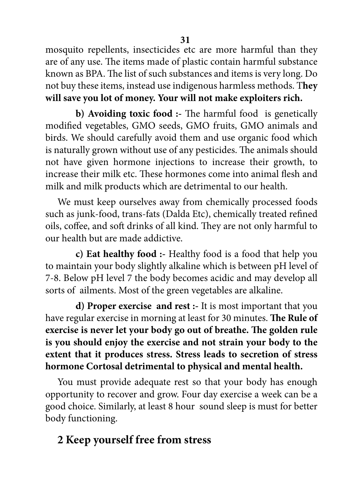mosquito repellents, insecticides etc are more harmful than they are of any use. The items made of plastic contain harmful substance known as BPA. The list of such substances and items is very long. Do not buy these items, instead use indigenous harmless methods. T**hey will save you lot of money. Your will not make exploiters rich.**

**b)** Avoiding toxic food :- The harmful food is genetically modified vegetables, GMO seeds, GMO fruits, GMO animals and birds. We should carefully avoid them and use organic food which is naturally grown without use of any pesticides. The animals should not have given hormone injections to increase their growth, to increase their milk etc. These hormones come into animal flesh and milk and milk products which are detrimental to our health.

We must keep ourselves away from chemically processed foods such as junk-food, trans-fats (Dalda Etc), chemically treated refined oils, coffee, and soft drinks of all kind. They are not only harmful to our health but are made addictive.

**c) Eat healthy food :-** Healthy food is a food that help you to maintain your body slightly alkaline which is between pH level of 7-8. Below pH level 7 the body becomes acidic and may develop all sorts of ailments. Most of the green vegetables are alkaline.

**d) Proper exercise and rest :-** It is most important that you have regular exercise in morning at least for 30 minutes. **The Rule of exercise is never let your body go out of breathe. The golden rule is you should enjoy the exercise and not strain your body to the extent that it produces stress. Stress leads to secretion of stress hormone Cortosal detrimental to physical and mental health.**

You must provide adequate rest so that your body has enough opportunity to recover and grow. Four day exercise a week can be a good choice. Similarly, at least 8 hour sound sleep is must for better body functioning.

## **2 Keep yourself free from stress**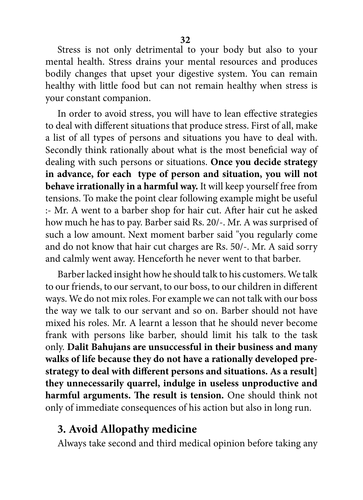Stress is not only detrimental to your body but also to your mental health. Stress drains your mental resources and produces bodily changes that upset your digestive system. You can remain healthy with little food but can not remain healthy when stress is your constant companion.

In order to avoid stress, you will have to lean effective strategies to deal with different situations that produce stress. First of all, make a list of all types of persons and situations you have to deal with. Secondly think rationally about what is the most beneficial way of dealing with such persons or situations. **Once you decide strategy in advance, for each type of person and situation, you will not behave irrationally in a harmful way.** It will keep yourself free from tensions. To make the point clear following example might be useful :- Mr. A went to a barber shop for hair cut. After hair cut he asked how much he has to pay. Barber said Rs. 20/-. Mr. A was surprised of such a low amount. Next moment barber said "you regularly come and do not know that hair cut charges are Rs. 50/-. Mr. A said sorry and calmly went away. Henceforth he never went to that barber.

Barber lacked insight how he should talk to his customers. We talk to our friends, to our servant, to our boss, to our children in different ways. We do not mix roles. For example we can not talk with our boss the way we talk to our servant and so on. Barber should not have mixed his roles. Mr. A learnt a lesson that he should never become frank with persons like barber, should limit his talk to the task only. **Dalit Bahujans are unsuccessful in their business and many walks of life because they do not have a rationally developed prestrategy to deal with different persons and situations. As a result] they unnecessarily quarrel, indulge in useless unproductive and harmful arguments. The result is tension.** One should think not only of immediate consequences of his action but also in long run.

#### **3. Avoid Allopathy medicine**

Always take second and third medical opinion before taking any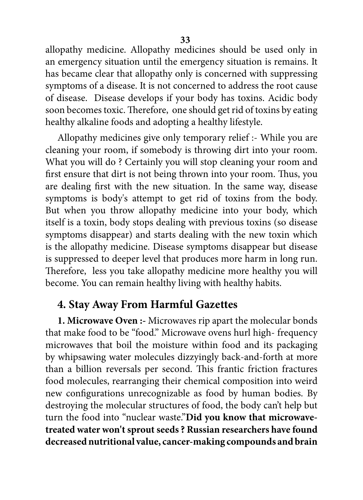allopathy medicine. Allopathy medicines should be used only in an emergency situation until the emergency situation is remains. It has became clear that allopathy only is concerned with suppressing symptoms of a disease. It is not concerned to address the root cause of disease. Disease develops if your body has toxins. Acidic body soon becomes toxic. Therefore, one should get rid of toxins by eating healthy alkaline foods and adopting a healthy lifestyle.

Allopathy medicines give only temporary relief :- While you are cleaning your room, if somebody is throwing dirt into your room. What you will do ? Certainly you will stop cleaning your room and first ensure that dirt is not being thrown into your room. Thus, you are dealing first with the new situation. In the same way, disease symptoms is body's attempt to get rid of toxins from the body. But when you throw allopathy medicine into your body, which itself is a toxin, body stops dealing with previous toxins (so disease symptoms disappear) and starts dealing with the new toxin which is the allopathy medicine. Disease symptoms disappear but disease is suppressed to deeper level that produces more harm in long run. Therefore, less you take allopathy medicine more healthy you will become. You can remain healthy living with healthy habits.

#### **4. Stay Away From Harmful Gazettes**

**1. Microwave Oven :-** Microwaves rip apart the molecular bonds that make food to be "food." Microwave ovens hurl high- frequency microwaves that boil the moisture within food and its packaging by whipsawing water molecules dizzyingly back-and-forth at more than a billion reversals per second. This frantic friction fractures food molecules, rearranging their chemical composition into weird new configurations unrecognizable as food by human bodies. By destroying the molecular structures of food, the body can't help but turn the food into "nuclear waste."**Did you know that microwavetreated water won't sprout seeds ? Russian researchers have found decreased nutritional value, cancer-making compounds and brain**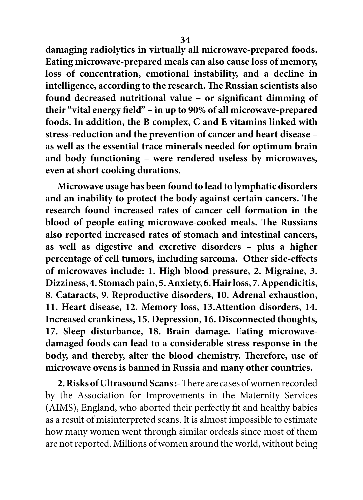**damaging radiolytics in virtually all microwave-prepared foods. Eating microwave-prepared meals can also cause loss of memory, loss of concentration, emotional instability, and a decline in intelligence, according to the research. The Russian scientists also found decreased nutritional value – or significant dimming of their "vital energy field" – in up to 90% of all microwave-prepared foods. In addition, the B complex, C and E vitamins linked with stress-reduction and the prevention of cancer and heart disease – as well as the essential trace minerals needed for optimum brain and body functioning – were rendered useless by microwaves, even at short cooking durations.** 

**Microwave usage has been found to lead to lymphatic disorders and an inability to protect the body against certain cancers. The research found increased rates of cancer cell formation in the blood of people eating microwave-cooked meals. The Russians also reported increased rates of stomach and intestinal cancers, as well as digestive and excretive disorders – plus a higher percentage of cell tumors, including sarcoma. Other side-effects of microwaves include: 1. High blood pressure, 2. Migraine, 3. Dizziness, 4. Stomach pain, 5. Anxiety, 6. Hair loss, 7. Appendicitis, 8. Cataracts, 9. Reproductive disorders, 10. Adrenal exhaustion, 11. Heart disease, 12. Memory loss, 13.Attention disorders, 14. Increased crankiness, 15. Depression, 16. Disconnected thoughts, 17. Sleep disturbance, 18. Brain damage. Eating microwavedamaged foods can lead to a considerable stress response in the body, and thereby, alter the blood chemistry. Therefore, use of microwave ovens is banned in Russia and many other countries.**

**2. Risks of Ultrasound Scans :-** There are cases of women recorded by the Association for Improvements in the Maternity Services (AIMS), England, who aborted their perfectly fit and healthy babies as a result of misinterpreted scans. It is almost impossible to estimate how many women went through similar ordeals since most of them are not reported. Millions of women around the world, without being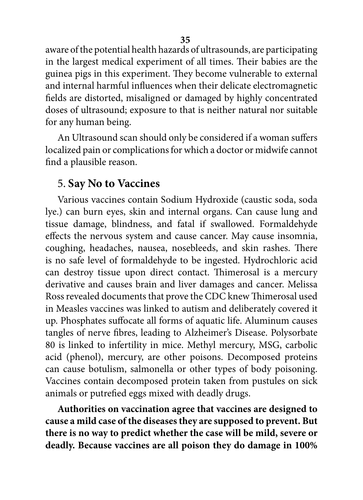aware of the potential health hazards of ultrasounds, are participating in the largest medical experiment of all times. Their babies are the guinea pigs in this experiment. They become vulnerable to external and internal harmful influences when their delicate electromagnetic fields are distorted, misaligned or damaged by highly concentrated doses of ultrasound; exposure to that is neither natural nor suitable for any human being.

An Ultrasound scan should only be considered if a woman suffers localized pain or complications for which a doctor or midwife cannot find a plausible reason.

#### 5. **Say No to Vaccines**

Various vaccines contain Sodium Hydroxide (caustic soda, soda lye.) can burn eyes, skin and internal organs. Can cause lung and tissue damage, blindness, and fatal if swallowed. Formaldehyde effects the nervous system and cause cancer. May cause insomnia, coughing, headaches, nausea, nosebleeds, and skin rashes. There is no safe level of formaldehyde to be ingested. Hydrochloric acid can destroy tissue upon direct contact. Thimerosal is a mercury derivative and causes brain and liver damages and cancer. Melissa Ross revealed documents that prove the CDC knew Thimerosal used in Measles vaccines was linked to autism and deliberately covered it up. Phosphates suffocate all forms of aquatic life. Aluminum causes tangles of nerve fibres, leading to Alzheimer's Disease. Polysorbate 80 is linked to infertility in mice. Methyl mercury, MSG, carbolic acid (phenol), mercury, are other poisons. Decomposed proteins can cause botulism, salmonella or other types of body poisoning. Vaccines contain decomposed protein taken from pustules on sick animals or putrefied eggs mixed with deadly drugs.

**Authorities on vaccination agree that vaccines are designed to cause a mild case of the diseases they are supposed to prevent. But there is no way to predict whether the case will be mild, severe or deadly. Because vaccines are all poison they do damage in 100%**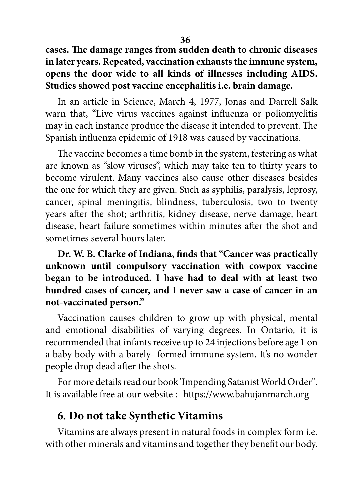**cases. The damage ranges from sudden death to chronic diseases in later years. Repeated, vaccination exhausts the immune system, opens the door wide to all kinds of illnesses including AIDS. Studies showed post vaccine encephalitis i.e. brain damage.**

In an article in Science, March 4, 1977, Jonas and Darrell Salk warn that, "Live virus vaccines against influenza or poliomyelitis may in each instance produce the disease it intended to prevent. The Spanish influenza epidemic of 1918 was caused by vaccinations.

The vaccine becomes a time bomb in the system, festering as what are known as "slow viruses", which may take ten to thirty years to become virulent. Many vaccines also cause other diseases besides the one for which they are given. Such as syphilis, paralysis, leprosy, cancer, spinal meningitis, blindness, tuberculosis, two to twenty years after the shot; arthritis, kidney disease, nerve damage, heart disease, heart failure sometimes within minutes after the shot and sometimes several hours later.

**Dr. W. B. Clarke of Indiana, finds that "Cancer was practically unknown until compulsory vaccination with cowpox vaccine began to be introduced. I have had to deal with at least two hundred cases of cancer, and I never saw a case of cancer in an not-vaccinated person."**

Vaccination causes children to grow up with physical, mental and emotional disabilities of varying degrees. In Ontario, it is recommended that infants receive up to 24 injections before age 1 on a baby body with a barely- formed immune system. It's no wonder people drop dead after the shots.

For more details read our book 'Impending Satanist World Order". It is available free at our website :- https://www.bahujanmarch.org

#### **6. Do not take Synthetic Vitamins**

Vitamins are always present in natural foods in complex form i.e. with other minerals and vitamins and together they benefit our body.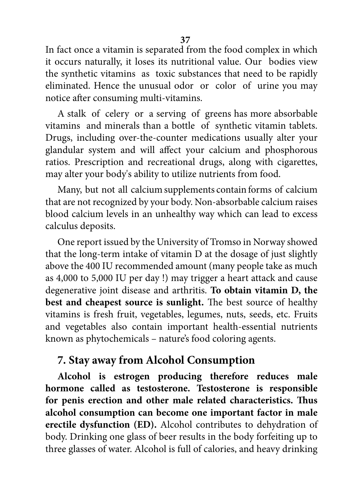In fact once a vitamin is separated from the food complex in which it occurs naturally, it loses its nutritional value. Our bodies view the synthetic vitamins as toxic substances that need to be rapidly eliminated. Hence the unusual odor or color of urine you may notice after consuming multi-vitamins.

A stalk of celery or a serving of greens has more absorbable vitamins and minerals than a bottle of synthetic vitamin tablets. Drugs, including over-the-counter medications usually alter your glandular system and will affect your calcium and phosphorous ratios. Prescription and recreational drugs, along with cigarettes, may alter your body's ability to utilize nutrients from food.

Many, but not all calcium supplements contain forms of calcium that are not recognized by your body. Non-absorbable calcium raises blood calcium levels in an unhealthy way which can lead to excess calculus deposits.

One report issued by the University of Tromso in Norway showed that the long-term intake of vitamin D at the dosage of just slightly above the 400 IU recommended amount (many people take as much as 4,000 to 5,000 IU per day !) may trigger a heart attack and cause degenerative joint disease and arthritis. **To obtain vitamin D, the best and cheapest source is sunlight.** The best source of healthy vitamins is fresh fruit, vegetables, legumes, nuts, seeds, etc. Fruits and vegetables also contain important health-essential nutrients known as phytochemicals – nature's food coloring agents.

## **7. Stay away from Alcohol Consumption**

**Alcohol is estrogen producing therefore reduces male hormone called as testosterone. Testosterone is responsible for penis erection and other male related characteristics. Thus alcohol consumption can become one important factor in male erectile dysfunction (ED).** Alcohol contributes to dehydration of body. Drinking one glass of beer results in the body forfeiting up to three glasses of water. Alcohol is full of calories, and heavy drinking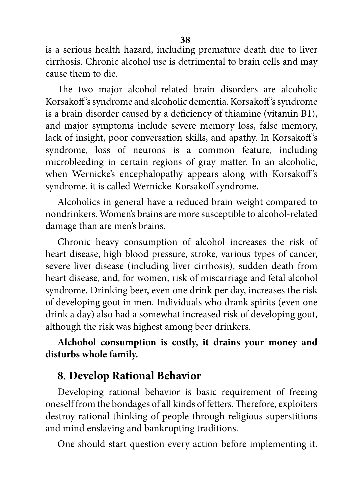is a serious health hazard, including premature death due to liver cirrhosis. Chronic alcohol use is detrimental to brain cells and may cause them to die.

The two major alcohol-related brain disorders are alcoholic Korsakoff 's syndrome and alcoholic dementia. Korsakoff 's syndrome is a brain disorder caused by a deficiency of thiamine (vitamin B1), and major symptoms include severe memory loss, false memory, lack of insight, poor conversation skills, and apathy. In Korsakoff's syndrome, loss of neurons is a common feature, including microbleeding in certain regions of gray matter. In an alcoholic, when Wernicke's encephalopathy appears along with Korsakoff's syndrome, it is called Wernicke-Korsakoff syndrome.

Alcoholics in general have a reduced brain weight compared to nondrinkers. Women's brains are more susceptible to alcohol-related damage than are men's brains.

Chronic heavy consumption of alcohol increases the risk of heart disease, high blood pressure, stroke, various types of cancer, severe liver disease (including liver cirrhosis), sudden death from heart disease, and, for women, risk of miscarriage and fetal alcohol syndrome. Drinking beer, even one drink per day, increases the risk of developing gout in men. Individuals who drank spirits (even one drink a day) also had a somewhat increased risk of developing gout, although the risk was highest among beer drinkers.

**Alchohol consumption is costly, it drains your money and disturbs whole family.**

### **8. Develop Rational Behavior**

Developing rational behavior is basic requirement of freeing oneself from the bondages of all kinds of fetters. Therefore, exploiters destroy rational thinking of people through religious superstitions and mind enslaving and bankrupting traditions.

One should start question every action before implementing it.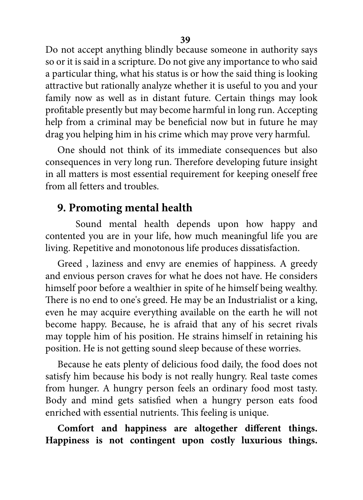Do not accept anything blindly because someone in authority says so or it is said in a scripture. Do not give any importance to who said a particular thing, what his status is or how the said thing is looking attractive but rationally analyze whether it is useful to you and your family now as well as in distant future. Certain things may look profitable presently but may become harmful in long run. Accepting help from a criminal may be beneficial now but in future he may drag you helping him in his crime which may prove very harmful.

One should not think of its immediate consequences but also consequences in very long run. Therefore developing future insight in all matters is most essential requirement for keeping oneself free from all fetters and troubles.

#### **9. Promoting mental health**

Sound mental health depends upon how happy and contented you are in your life, how much meaningful life you are living. Repetitive and monotonous life produces dissatisfaction.

Greed , laziness and envy are enemies of happiness. A greedy and envious person craves for what he does not have. He considers himself poor before a wealthier in spite of he himself being wealthy. There is no end to one's greed. He may be an Industrialist or a king, even he may acquire everything available on the earth he will not become happy. Because, he is afraid that any of his secret rivals may topple him of his position. He strains himself in retaining his position. He is not getting sound sleep because of these worries.

Because he eats plenty of delicious food daily, the food does not satisfy him because his body is not really hungry. Real taste comes from hunger. A hungry person feels an ordinary food most tasty. Body and mind gets satisfied when a hungry person eats food enriched with essential nutrients. This feeling is unique.

**Comfort and happiness are altogether different things. Happiness is not contingent upon costly luxurious things.**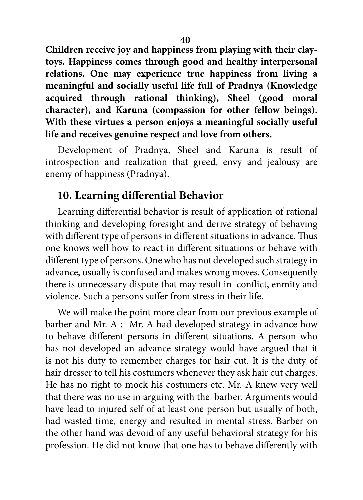**Children receive joy and happiness from playing with their claytoys. Happiness comes through good and healthy interpersonal relations. One may experience true happiness from living a meaningful and socially useful life full of Pradnya (Knowledge acquired through rational thinking), Sheel (good moral character), and Karuna (compassion for other fellow beings). With these virtues a person enjoys a meaningful socially useful life and receives genuine respect and love from others.**

Development of Pradnya, Sheel and Karuna is result of introspection and realization that greed, envy and jealousy are enemy of happiness (Pradnya).

#### **10. Learning differential Behavior**

Learning differential behavior is result of application of rational thinking and developing foresight and derive strategy of behaving with different type of persons in different situations in advance. Thus one knows well how to react in different situations or behave with different type of persons. One who has not developed such strategy in advance, usually is confused and makes wrong moves. Consequently there is unnecessary dispute that may result in conflict, enmity and violence. Such a persons suffer from stress in their life.

We will make the point more clear from our previous example of barber and Mr. A :- Mr. A had developed strategy in advance how to behave different persons in different situations. A person who has not developed an advance strategy would have argued that it is not his duty to remember charges for hair cut. It is the duty of hair dresser to tell his costumers whenever they ask hair cut charges. He has no right to mock his costumers etc. Mr. A knew very well that there was no use in arguing with the barber. Arguments would have lead to injured self of at least one person but usually of both, had wasted time, energy and resulted in mental stress. Barber on the other hand was devoid of any useful behavioral strategy for his profession. He did not know that one has to behave differently with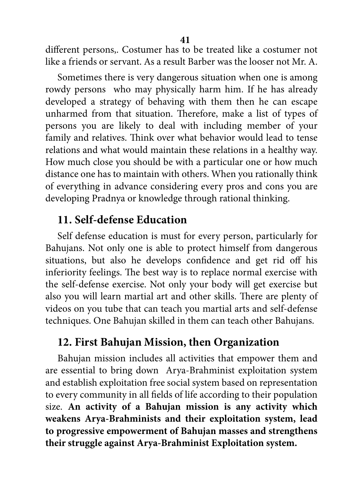different persons,. Costumer has to be treated like a costumer not like a friends or servant. As a result Barber was the looser not Mr. A.

Sometimes there is very dangerous situation when one is among rowdy persons who may physically harm him. If he has already developed a strategy of behaving with them then he can escape unharmed from that situation. Therefore, make a list of types of persons you are likely to deal with including member of your family and relatives. Think over what behavior would lead to tense relations and what would maintain these relations in a healthy way. How much close you should be with a particular one or how much distance one has to maintain with others. When you rationally think of everything in advance considering every pros and cons you are developing Pradnya or knowledge through rational thinking.

### **11. Self-defense Education**

Self defense education is must for every person, particularly for Bahujans. Not only one is able to protect himself from dangerous situations, but also he develops confidence and get rid off his inferiority feelings. The best way is to replace normal exercise with the self-defense exercise. Not only your body will get exercise but also you will learn martial art and other skills. There are plenty of videos on you tube that can teach you martial arts and self-defense techniques. One Bahujan skilled in them can teach other Bahujans.

## **12. First Bahujan Mission, then Organization**

Bahujan mission includes all activities that empower them and are essential to bring down Arya-Brahminist exploitation system and establish exploitation free social system based on representation to every community in all fields of life according to their population size. **An activity of a Bahujan mission is any activity which weakens Arya-Brahminists and their exploitation system, lead to progressive empowerment of Bahujan masses and strengthens their struggle against Arya-Brahminist Exploitation system.**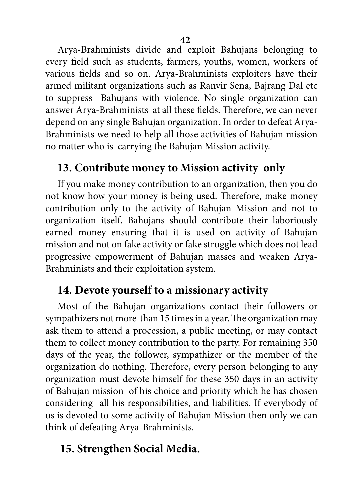Arya-Brahminists divide and exploit Bahujans belonging to every field such as students, farmers, youths, women, workers of various fields and so on. Arya-Brahminists exploiters have their armed militant organizations such as Ranvir Sena, Bajrang Dal etc to suppress Bahujans with violence. No single organization can answer Arya-Brahminists at all these fields. Therefore, we can never depend on any single Bahujan organization. In order to defeat Arya-Brahminists we need to help all those activities of Bahujan mission no matter who is carrying the Bahujan Mission activity.

#### **13. Contribute money to Mission activity only**

If you make money contribution to an organization, then you do not know how your money is being used. Therefore, make money contribution only to the activity of Bahujan Mission and not to organization itself. Bahujans should contribute their laboriously earned money ensuring that it is used on activity of Bahujan mission and not on fake activity or fake struggle which does not lead progressive empowerment of Bahujan masses and weaken Arya-Brahminists and their exploitation system.

### **14. Devote yourself to a missionary activity**

Most of the Bahujan organizations contact their followers or sympathizers not more than 15 times in a year. The organization may ask them to attend a procession, a public meeting, or may contact them to collect money contribution to the party. For remaining 350 days of the year, the follower, sympathizer or the member of the organization do nothing. Therefore, every person belonging to any organization must devote himself for these 350 days in an activity of Bahujan mission of his choice and priority which he has chosen considering all his responsibilities, and liabilities. If everybody of us is devoted to some activity of Bahujan Mission then only we can think of defeating Arya-Brahminists.

## **15. Strengthen Social Media.**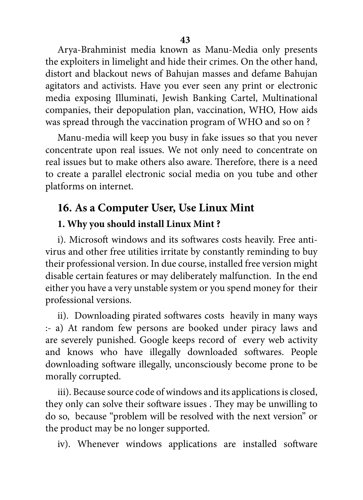Arya-Brahminist media known as Manu-Media only presents the exploiters in limelight and hide their crimes. On the other hand, distort and blackout news of Bahujan masses and defame Bahujan agitators and activists. Have you ever seen any print or electronic media exposing Illuminati, Jewish Banking Cartel, Multinational companies, their depopulation plan, vaccination, WHO, How aids was spread through the vaccination program of WHO and so on ?

Manu-media will keep you busy in fake issues so that you never concentrate upon real issues. We not only need to concentrate on real issues but to make others also aware. Therefore, there is a need to create a parallel electronic social media on you tube and other platforms on internet.

### **16. As a Computer User, Use Linux Mint**

#### **1. Why you should install Linux Mint ?**

i). Microsoft windows and its softwares costs heavily. Free antivirus and other free utilities irritate by constantly reminding to buy their professional version. In due course, installed free version might disable certain features or may deliberately malfunction. In the end either you have a very unstable system or you spend money for their professional versions.

ii). Downloading pirated softwares costs heavily in many ways :- a) At random few persons are booked under piracy laws and are severely punished. Google keeps record of every web activity and knows who have illegally downloaded softwares. People downloading software illegally, unconsciously become prone to be morally corrupted.

iii). Because source code of windows and its applications is closed, they only can solve their software issues . They may be unwilling to do so, because "problem will be resolved with the next version" or the product may be no longer supported.

iv). Whenever windows applications are installed software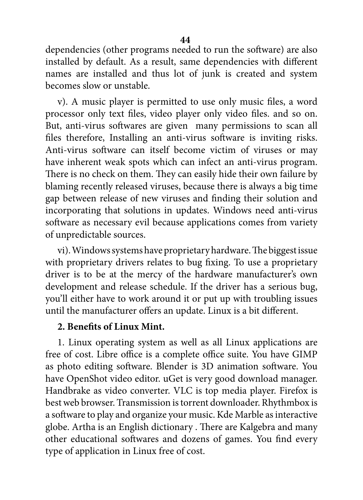**44**

dependencies (other programs needed to run the software) are also installed by default. As a result, same dependencies with different names are installed and thus lot of junk is created and system becomes slow or unstable.

v). A music player is permitted to use only music files, a word processor only text files, video player only video files. and so on. But, anti-virus softwares are given many permissions to scan all files therefore, Installing an anti-virus software is inviting risks. Anti-virus software can itself become victim of viruses or may have inherent weak spots which can infect an anti-virus program. There is no check on them. They can easily hide their own failure by blaming recently released viruses, because there is always a big time gap between release of new viruses and finding their solution and incorporating that solutions in updates. Windows need anti-virus software as necessary evil because applications comes from variety of unpredictable sources.

vi). Windows systems have proprietary hardware. The biggest issue with proprietary drivers relates to bug fixing. To use a proprietary driver is to be at the mercy of the hardware manufacturer's own development and release schedule. If the driver has a serious bug, you'll either have to work around it or put up with troubling issues until the manufacturer offers an update. Linux is a bit different.

#### **2. Benefits of Linux Mint.**

1. Linux operating system as well as all Linux applications are free of cost. Libre office is a complete office suite. You have GIMP as photo editing software. Blender is 3D animation software. You have OpenShot video editor. uGet is very good download manager. Handbrake as video converter. VLC is top media player. Firefox is best web browser. Transmission is torrent downloader. Rhythmbox is a software to play and organize your music. Kde Marble as interactive globe. Artha is an English dictionary . There are Kalgebra and many other educational softwares and dozens of games. You find every type of application in Linux free of cost.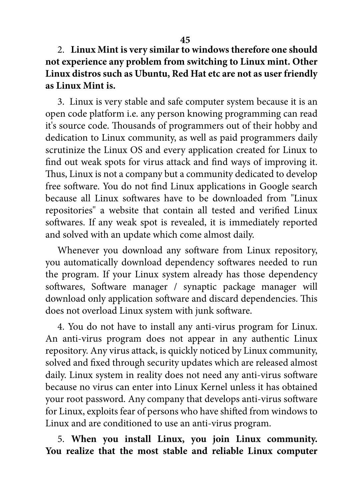#### 2. **Linux Mint is very similar to windows therefore one should not experience any problem from switching to Linux mint. Other Linux distros such as Ubuntu, Red Hat etc are not as user friendly as Linux Mint is.**

3. Linux is very stable and safe computer system because it is an open code platform i.e. any person knowing programming can read it's source code. Thousands of programmers out of their hobby and dedication to Linux community, as well as paid programmers daily scrutinize the Linux OS and every application created for Linux to find out weak spots for virus attack and find ways of improving it. Thus, Linux is not a company but a community dedicated to develop free software. You do not find Linux applications in Google search because all Linux softwares have to be downloaded from "Linux repositories" a website that contain all tested and verified Linux softwares. If any weak spot is revealed, it is immediately reported and solved with an update which come almost daily.

Whenever you download any software from Linux repository, you automatically download dependency softwares needed to run the program. If your Linux system already has those dependency softwares, Software manager / synaptic package manager will download only application software and discard dependencies. This does not overload Linux system with junk software.

4. You do not have to install any anti-virus program for Linux. An anti-virus program does not appear in any authentic Linux repository. Any virus attack, is quickly noticed by Linux community, solved and fixed through security updates which are released almost daily. Linux system in reality does not need any anti-virus software because no virus can enter into Linux Kernel unless it has obtained your root password. Any company that develops anti-virus software for Linux, exploits fear of persons who have shifted from windows to Linux and are conditioned to use an anti-virus program.

5. **When you install Linux, you join Linux community. You realize that the most stable and reliable Linux computer**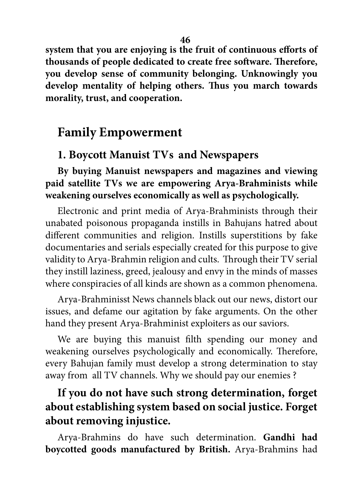**system that you are enjoying is the fruit of continuous efforts of thousands of people dedicated to create free software. Therefore, you develop sense of community belonging. Unknowingly you develop mentality of helping others. Thus you march towards morality, trust, and cooperation.**

## **Family Empowerment**

### **1. Boycott Manuist TVs and Newspapers**

**By buying Manuist newspapers and magazines and viewing paid satellite TVs we are empowering Arya-Brahminists while weakening ourselves economically as well as psychologically.** 

Electronic and print media of Arya-Brahminists through their unabated poisonous propaganda instills in Bahujans hatred about different communities and religion. Instills superstitions by fake documentaries and serials especially created for this purpose to give validity to Arya-Brahmin religion and cults. Through their TV serial they instill laziness, greed, jealousy and envy in the minds of masses where conspiracies of all kinds are shown as a common phenomena.

Arya-Brahminisst News channels black out our news, distort our issues, and defame our agitation by fake arguments. On the other hand they present Arya-Brahminist exploiters as our saviors.

We are buying this manuist filth spending our money and weakening ourselves psychologically and economically. Therefore, every Bahujan family must develop a strong determination to stay away from all TV channels. Why we should pay our enemies ?

## **If you do not have such strong determination, forget about establishing system based on social justice. Forget about removing injustice.**

Arya-Brahmins do have such determination. **Gandhi had boycotted goods manufactured by British.** Arya-Brahmins had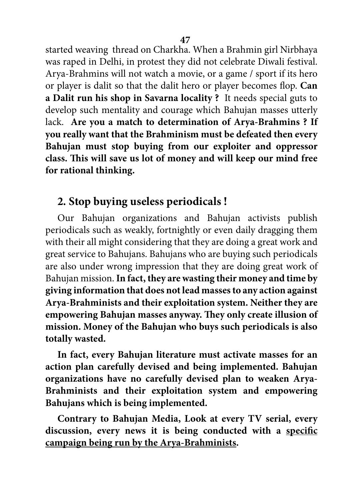started weaving thread on Charkha. When a Brahmin girl Nirbhaya was raped in Delhi, in protest they did not celebrate Diwali festival. Arya-Brahmins will not watch a movie, or a game / sport if its hero or player is dalit so that the dalit hero or player becomes flop. **Can a Dalit run his shop in Savarna locality ?** It needs special guts to develop such mentality and courage which Bahujan masses utterly lack. **Are you a match to determination of Arya-Brahmins ? If you really want that the Brahminism must be defeated then every Bahujan must stop buying from our exploiter and oppressor class. This will save us lot of money and will keep our mind free for rational thinking.**

#### **2. Stop buying useless periodicals !**

Our Bahujan organizations and Bahujan activists publish periodicals such as weakly, fortnightly or even daily dragging them with their all might considering that they are doing a great work and great service to Bahujans. Bahujans who are buying such periodicals are also under wrong impression that they are doing great work of Bahujan mission. **In fact, they are wasting their money and time by giving information that does not lead masses to any action against Arya-Brahminists and their exploitation system. Neither they are empowering Bahujan masses anyway. They only create illusion of mission. Money of the Bahujan who buys such periodicals is also totally wasted.**

**In fact, every Bahujan literature must activate masses for an action plan carefully devised and being implemented. Bahujan organizations have no carefully devised plan to weaken Arya-Brahminists and their exploitation system and empowering Bahujans which is being implemented.** 

**Contrary to Bahujan Media, Look at every TV serial, every discussion, every news it is being conducted with a specific campaign being run by the Arya-Brahminists.**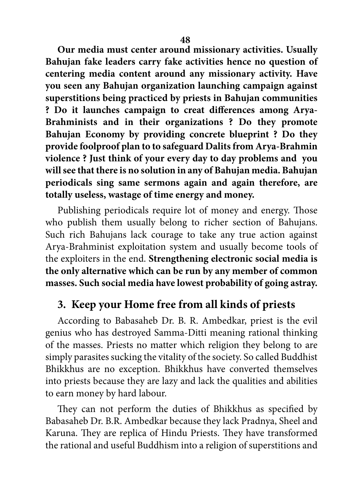**Our media must center around missionary activities. Usually Bahujan fake leaders carry fake activities hence no question of centering media content around any missionary activity. Have you seen any Bahujan organization launching campaign against superstitions being practiced by priests in Bahujan communities ? Do it launches campaign to creat differences among Arya-Brahminists and in their organizations ? Do they promote Bahujan Economy by providing concrete blueprint ? Do they provide foolproof plan to to safeguard Dalits from Arya-Brahmin violence ? Just think of your every day to day problems and you will see that there is no solution in any of Bahujan media. Bahujan periodicals sing same sermons again and again therefore, are totally useless, wastage of time energy and money.** 

Publishing periodicals require lot of money and energy. Those who publish them usually belong to richer section of Bahujans. Such rich Bahujans lack courage to take any true action against Arya-Brahminist exploitation system and usually become tools of the exploiters in the end. **Strengthening electronic social media is the only alternative which can be run by any member of common masses. Such social media have lowest probability of going astray.**

### **3. Keep your Home free from all kinds of priests**

According to Babasaheb Dr. B. R. Ambedkar, priest is the evil genius who has destroyed Samma-Ditti meaning rational thinking of the masses. Priests no matter which religion they belong to are simply parasites sucking the vitality of the society. So called Buddhist Bhikkhus are no exception. Bhikkhus have converted themselves into priests because they are lazy and lack the qualities and abilities to earn money by hard labour.

They can not perform the duties of Bhikkhus as specified by Babasaheb Dr. B.R. Ambedkar because they lack Pradnya, Sheel and Karuna. They are replica of Hindu Priests. They have transformed the rational and useful Buddhism into a religion of superstitions and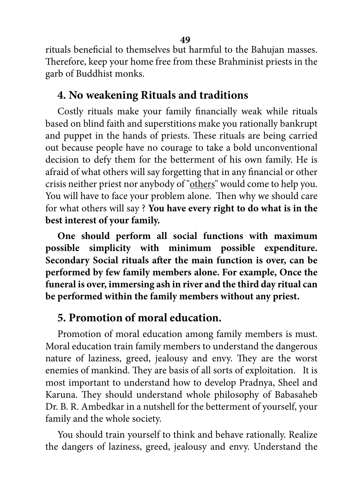rituals beneficial to themselves but harmful to the Bahujan masses. Therefore, keep your home free from these Brahminist priests in the garb of Buddhist monks.

#### **4. No weakening Rituals and traditions**

Costly rituals make your family financially weak while rituals based on blind faith and superstitions make you rationally bankrupt and puppet in the hands of priests. These rituals are being carried out because people have no courage to take a bold unconventional decision to defy them for the betterment of his own family. He is afraid of what others will say forgetting that in any financial or other crisis neither priest nor anybody of "others" would come to help you. You will have to face your problem alone. Then why we should care for what others will say ? **You have every right to do what is in the best interest of your family.** 

**One should perform all social functions with maximum possible simplicity with minimum possible expenditure. Secondary Social rituals after the main function is over, can be performed by few family members alone. For example, Once the funeral is over, immersing ash in river and the third day ritual can be performed within the family members without any priest.** 

## **5. Promotion of moral education.**

Promotion of moral education among family members is must. Moral education train family members to understand the dangerous nature of laziness, greed, jealousy and envy. They are the worst enemies of mankind. They are basis of all sorts of exploitation. It is most important to understand how to develop Pradnya, Sheel and Karuna. They should understand whole philosophy of Babasaheb Dr. B. R. Ambedkar in a nutshell for the betterment of yourself, your family and the whole society.

You should train yourself to think and behave rationally. Realize the dangers of laziness, greed, jealousy and envy. Understand the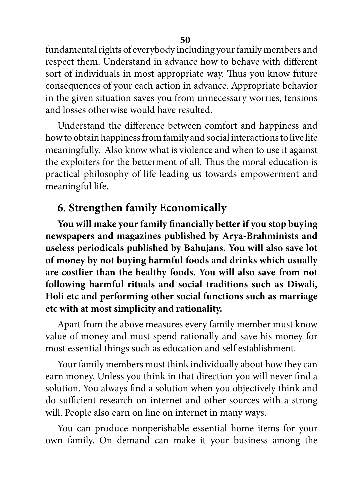fundamental rights of everybody including your family members and respect them. Understand in advance how to behave with different sort of individuals in most appropriate way. Thus you know future consequences of your each action in advance. Appropriate behavior in the given situation saves you from unnecessary worries, tensions and losses otherwise would have resulted.

Understand the difference between comfort and happiness and how to obtain happiness from family and social interactions to live life meaningfully. Also know what is violence and when to use it against the exploiters for the betterment of all. Thus the moral education is practical philosophy of life leading us towards empowerment and meaningful life.

#### **6. Strengthen family Economically**

**You will make your family financially better if you stop buying newspapers and magazines published by Arya-Brahminists and useless periodicals published by Bahujans. You will also save lot of money by not buying harmful foods and drinks which usually are costlier than the healthy foods. You will also save from not following harmful rituals and social traditions such as Diwali, Holi etc and performing other social functions such as marriage etc with at most simplicity and rationality.**

Apart from the above measures every family member must know value of money and must spend rationally and save his money for most essential things such as education and self establishment.

Your family members must think individually about how they can earn money. Unless you think in that direction you will never find a solution. You always find a solution when you objectively think and do sufficient research on internet and other sources with a strong will. People also earn on line on internet in many ways.

You can produce nonperishable essential home items for your own family. On demand can make it your business among the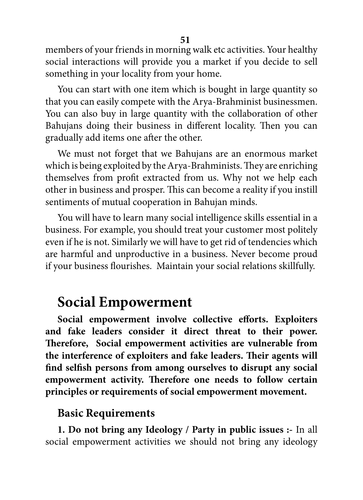members of your friends in morning walk etc activities. Your healthy social interactions will provide you a market if you decide to sell something in your locality from your home.

You can start with one item which is bought in large quantity so that you can easily compete with the Arya-Brahminist businessmen. You can also buy in large quantity with the collaboration of other Bahujans doing their business in different locality. Then you can gradually add items one after the other.

We must not forget that we Bahujans are an enormous market which is being exploited by the Arya-Brahminists. They are enriching themselves from profit extracted from us. Why not we help each other in business and prosper. This can become a reality if you instill sentiments of mutual cooperation in Bahujan minds.

You will have to learn many social intelligence skills essential in a business. For example, you should treat your customer most politely even if he is not. Similarly we will have to get rid of tendencies which are harmful and unproductive in a business. Never become proud if your business flourishes. Maintain your social relations skillfully.

## **Social Empowerment**

**Social empowerment involve collective efforts. Exploiters and fake leaders consider it direct threat to their power. Therefore, Social empowerment activities are vulnerable from the interference of exploiters and fake leaders. Their agents will find selfish persons from among ourselves to disrupt any social empowerment activity. Therefore one needs to follow certain principles or requirements of social empowerment movement.**

#### **Basic Requirements**

**1. Do not bring any Ideology / Party in public issues :-** In all social empowerment activities we should not bring any ideology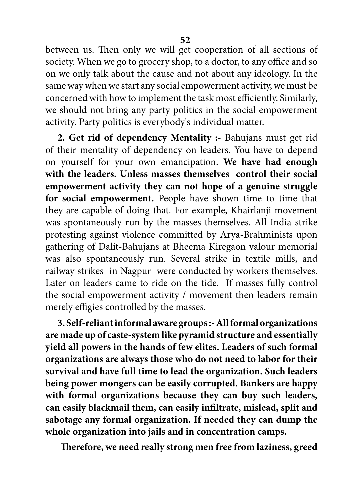between us. Then only we will get cooperation of all sections of society. When we go to grocery shop, to a doctor, to any office and so on we only talk about the cause and not about any ideology. In the same way when we start any social empowerment activity, we must be concerned with how to implement the task most efficiently. Similarly, we should not bring any party politics in the social empowerment activity. Party politics is everybody's individual matter.

**2. Get rid of dependency Mentality :-** Bahujans must get rid of their mentality of dependency on leaders. You have to depend on yourself for your own emancipation. **We have had enough with the leaders. Unless masses themselves control their social empowerment activity they can not hope of a genuine struggle for social empowerment.** People have shown time to time that they are capable of doing that. For example, Khairlanji movement was spontaneously run by the masses themselves. All India strike protesting against violence committed by Arya-Brahminists upon gathering of Dalit-Bahujans at Bheema Kiregaon valour memorial was also spontaneously run. Several strike in textile mills, and railway strikes in Nagpur were conducted by workers themselves. Later on leaders came to ride on the tide. If masses fully control the social empowerment activity / movement then leaders remain merely effigies controlled by the masses.

**3. Self-reliant informal aware groups :-All formal organizations are made up of caste-system like pyramid structure and essentially yield all powers in the hands of few elites. Leaders of such formal organizations are always those who do not need to labor for their survival and have full time to lead the organization. Such leaders being power mongers can be easily corrupted. Bankers are happy with formal organizations because they can buy such leaders, can easily blackmail them, can easily infiltrate, mislead, split and sabotage any formal organization. If needed they can dump the whole organization into jails and in concentration camps.**

**Therefore, we need really strong men free from laziness, greed**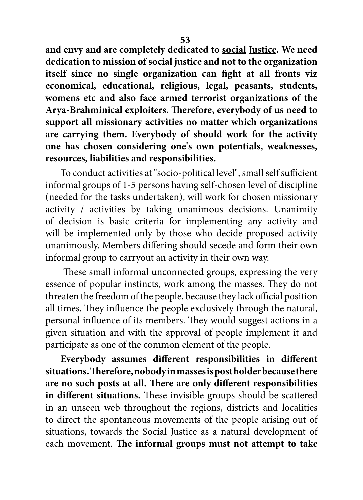**and envy and are completely dedicated to social Justice. We need dedication to mission of social justice and not to the organization itself since no single organization can fight at all fronts viz economical, educational, religious, legal, peasants, students, womens etc and also face armed terrorist organizations of the Arya-Brahminical exploiters. Therefore, everybody of us need to support all missionary activities no matter which organizations are carrying them. Everybody of should work for the activity one has chosen considering one's own potentials, weaknesses, resources, liabilities and responsibilities.**

To conduct activities at "socio-political level", small self sufficient informal groups of 1-5 persons having self-chosen level of discipline (needed for the tasks undertaken), will work for chosen missionary activity / activities by taking unanimous decisions. Unanimity of decision is basic criteria for implementing any activity and will be implemented only by those who decide proposed activity unanimously. Members differing should secede and form their own informal group to carryout an activity in their own way.

 These small informal unconnected groups, expressing the very essence of popular instincts, work among the masses. They do not threaten the freedom of the people, because they lack official position all times. They influence the people exclusively through the natural, personal influence of its members. They would suggest actions in a given situation and with the approval of people implement it and participate as one of the common element of the people.

**Everybody assumes different responsibilities in different situations. Therefore, nobody in masses is post holder because there are no such posts at all. There are only different responsibilities in different situations.** These invisible groups should be scattered in an unseen web throughout the regions, districts and localities to direct the spontaneous movements of the people arising out of situations, towards the Social Justice as a natural development of each movement. **The informal groups must not attempt to take**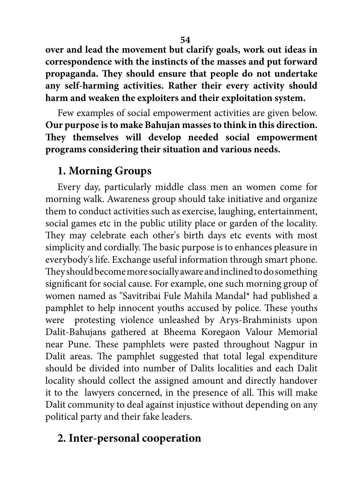**over and lead the movement but clarify goals, work out ideas in correspondence with the instincts of the masses and put forward propaganda. They should ensure that people do not undertake any self-harming activities. Rather their every activity should harm and weaken the exploiters and their exploitation system.**

Few examples of social empowerment activities are given below. **Our purpose is to make Bahujan masses to think in this direction. They themselves will develop needed social empowerment programs considering their situation and various needs.**

#### **1. Morning Groups**

Every day, particularly middle class men an women come for morning walk. Awareness group should take initiative and organize them to conduct activities such as exercise, laughing, entertainment, social games etc in the public utility place or garden of the locality. They may celebrate each other's birth days etc events with most simplicity and cordially. The basic purpose is to enhances pleasure in everybody's life. Exchange useful information through smart phone. They should become more socially aware and inclined to do something significant for social cause. For example, one such morning group of women named as "Savitribai Fule Mahila Mandal\* had published a pamphlet to help innocent youths accused by police. These youths were protesting violence unleashed by Arys-Brahminists upon Dalit-Bahujans gathered at Bheema Koregaon Valour Memorial near Pune. These pamphlets were pasted throughout Nagpur in Dalit areas. The pamphlet suggested that total legal expenditure should be divided into number of Dalits localities and each Dalit locality should collect the assigned amount and directly handover it to the lawyers concerned, in the presence of all. This will make Dalit community to deal against injustice without depending on any political party and their fake leaders.

### **2. Inter-personal cooperation**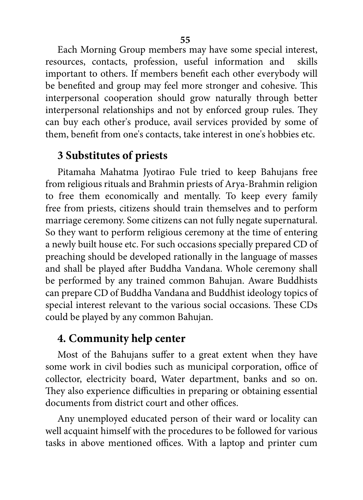Each Morning Group members may have some special interest, resources, contacts, profession, useful information and skills important to others. If members benefit each other everybody will be benefited and group may feel more stronger and cohesive. This interpersonal cooperation should grow naturally through better interpersonal relationships and not by enforced group rules. They can buy each other's produce, avail services provided by some of them, benefit from one's contacts, take interest in one's hobbies etc.

### **3 Substitutes of priests**

Pitamaha Mahatma Jyotirao Fule tried to keep Bahujans free from religious rituals and Brahmin priests of Arya-Brahmin religion to free them economically and mentally. To keep every family free from priests, citizens should train themselves and to perform marriage ceremony. Some citizens can not fully negate supernatural. So they want to perform religious ceremony at the time of entering a newly built house etc. For such occasions specially prepared CD of preaching should be developed rationally in the language of masses and shall be played after Buddha Vandana. Whole ceremony shall be performed by any trained common Bahujan. Aware Buddhists can prepare CD of Buddha Vandana and Buddhist ideology topics of special interest relevant to the various social occasions. These CDs could be played by any common Bahujan.

## **4. Community help center**

Most of the Bahujans suffer to a great extent when they have some work in civil bodies such as municipal corporation, office of collector, electricity board, Water department, banks and so on. They also experience difficulties in preparing or obtaining essential documents from district court and other offices.

Any unemployed educated person of their ward or locality can well acquaint himself with the procedures to be followed for various tasks in above mentioned offices. With a laptop and printer cum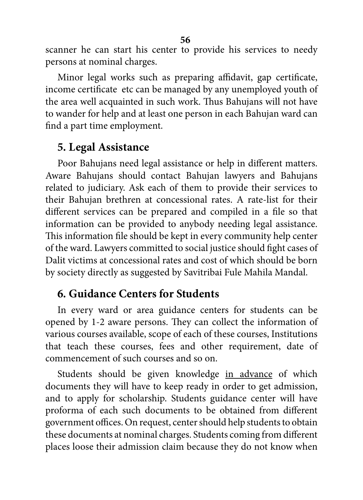scanner he can start his center to provide his services to needy persons at nominal charges.

Minor legal works such as preparing affidavit, gap certificate, income certificate etc can be managed by any unemployed youth of the area well acquainted in such work. Thus Bahujans will not have to wander for help and at least one person in each Bahujan ward can find a part time employment.

#### **5. Legal Assistance**

Poor Bahujans need legal assistance or help in different matters. Aware Bahujans should contact Bahujan lawyers and Bahujans related to judiciary. Ask each of them to provide their services to their Bahujan brethren at concessional rates. A rate-list for their different services can be prepared and compiled in a file so that information can be provided to anybody needing legal assistance. This information file should be kept in every community help center of the ward. Lawyers committed to social justice should fight cases of Dalit victims at concessional rates and cost of which should be born by society directly as suggested by Savitribai Fule Mahila Mandal.

#### **6. Guidance Centers for Students**

In every ward or area guidance centers for students can be opened by 1-2 aware persons. They can collect the information of various courses available, scope of each of these courses, Institutions that teach these courses, fees and other requirement, date of commencement of such courses and so on.

Students should be given knowledge in advance of which documents they will have to keep ready in order to get admission, and to apply for scholarship. Students guidance center will have proforma of each such documents to be obtained from different government offices. On request, center should help students to obtain these documents at nominal charges. Students coming from different places loose their admission claim because they do not know when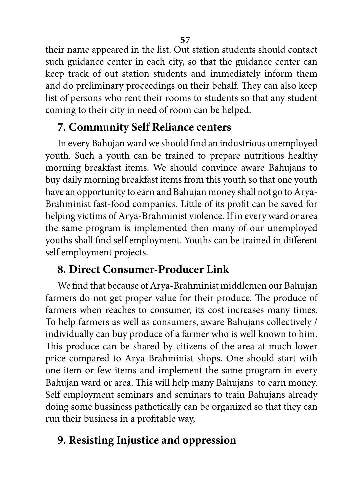their name appeared in the list. Out station students should contact such guidance center in each city, so that the guidance center can keep track of out station students and immediately inform them and do preliminary proceedings on their behalf. They can also keep list of persons who rent their rooms to students so that any student coming to their city in need of room can be helped.

#### **7. Community Self Reliance centers**

In every Bahujan ward we should find an industrious unemployed youth. Such a youth can be trained to prepare nutritious healthy morning breakfast items. We should convince aware Bahujans to buy daily morning breakfast items from this youth so that one youth have an opportunity to earn and Bahujan money shall not go to Arya-Brahminist fast-food companies. Little of its profit can be saved for helping victims of Arya-Brahminist violence. If in every ward or area the same program is implemented then many of our unemployed youths shall find self employment. Youths can be trained in different self employment projects.

### **8. Direct Consumer-Producer Link**

We find that because of Arya-Brahminist middlemen our Bahujan farmers do not get proper value for their produce. The produce of farmers when reaches to consumer, its cost increases many times. To help farmers as well as consumers, aware Bahujans collectively / individually can buy produce of a farmer who is well known to him. This produce can be shared by citizens of the area at much lower price compared to Arya-Brahminist shops. One should start with one item or few items and implement the same program in every Bahujan ward or area. This will help many Bahujans to earn money. Self employment seminars and seminars to train Bahujans already doing some bussiness pathetically can be organized so that they can run their business in a profitable way,

## **9. Resisting Injustice and oppression**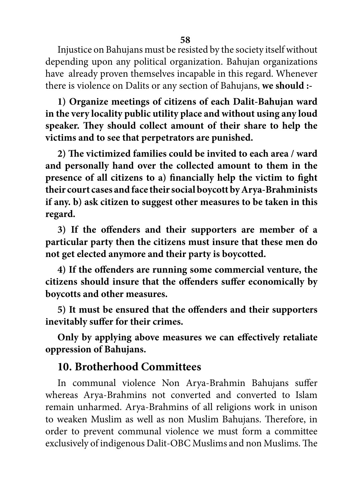Injustice on Bahujans must be resisted by the society itself without depending upon any political organization. Bahujan organizations have already proven themselves incapable in this regard. Whenever there is violence on Dalits or any section of Bahujans, **we should :-** 

**1) Organize meetings of citizens of each Dalit-Bahujan ward in the very locality public utility place and without using any loud speaker. They should collect amount of their share to help the victims and to see that perpetrators are punished.** 

**2) The victimized families could be invited to each area / ward and personally hand over the collected amount to them in the presence of all citizens to a) financially help the victim to fight their court cases and face their social boycott by Arya-Brahminists if any. b) ask citizen to suggest other measures to be taken in this regard.** 

**3) If the offenders and their supporters are member of a particular party then the citizens must insure that these men do not get elected anymore and their party is boycotted.** 

**4) If the offenders are running some commercial venture, the citizens should insure that the offenders suffer economically by boycotts and other measures.** 

**5) It must be ensured that the offenders and their supporters inevitably suffer for their crimes.** 

**Only by applying above measures we can effectively retaliate oppression of Bahujans.**

#### **10. Brotherhood Committees**

In communal violence Non Arya-Brahmin Bahujans suffer whereas Arya-Brahmins not converted and converted to Islam remain unharmed. Arya-Brahmins of all religions work in unison to weaken Muslim as well as non Muslim Bahujans. Therefore, in order to prevent communal violence we must form a committee exclusively of indigenous Dalit-OBC Muslims and non Muslims. The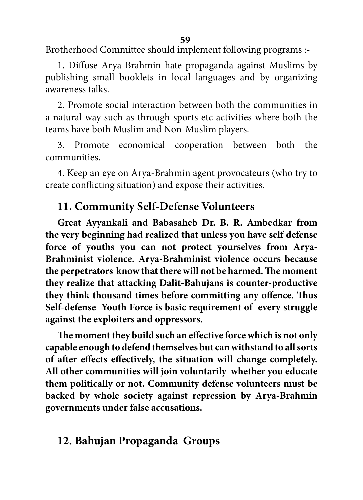**59**

Brotherhood Committee should implement following programs :-

1. Diffuse Arya-Brahmin hate propaganda against Muslims by publishing small booklets in local languages and by organizing awareness talks.

2. Promote social interaction between both the communities in a natural way such as through sports etc activities where both the teams have both Muslim and Non-Muslim players.

3. Promote economical cooperation between both the communities.

4. Keep an eye on Arya-Brahmin agent provocateurs (who try to create conflicting situation) and expose their activities.

### **11. Community Self-Defense Volunteers**

**Great Ayyankali and Babasaheb Dr. B. R. Ambedkar from the very beginning had realized that unless you have self defense force of youths you can not protect yourselves from Arya-Brahminist violence. Arya-Brahminist violence occurs because the perpetrators know that there will not be harmed. The moment they realize that attacking Dalit-Bahujans is counter-productive they think thousand times before committing any offence. Thus Self-defense Youth Force is basic requirement of every struggle against the exploiters and oppressors.**

**The moment they build such an effective force which is not only capable enough to defend themselves but can withstand to all sorts of after effects effectively, the situation will change completely. All other communities will join voluntarily whether you educate them politically or not. Community defense volunteers must be backed by whole society against repression by Arya-Brahmin governments under false accusations.**

## **12. Bahujan Propaganda Groups**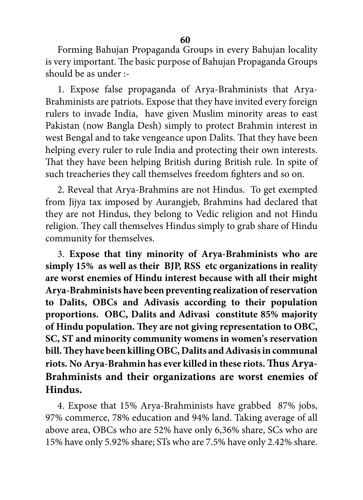Forming Bahujan Propaganda Groups in every Bahujan locality is very important. The basic purpose of Bahujan Propaganda Groups should be as under :-

1. Expose false propaganda of Arya-Brahminists that Arya-Brahminists are patriots. Expose that they have invited every foreign rulers to invade India, have given Muslim minority areas to east Pakistan (now Bangla Desh) simply to protect Brahmin interest in west Bengal and to take vengeance upon Dalits. That they have been helping every ruler to rule India and protecting their own interests. That they have been helping British during British rule. In spite of such treacheries they call themselves freedom fighters and so on.

2. Reveal that Arya-Brahmins are not Hindus. To get exempted from Jijya tax imposed by Aurangjeb, Brahmins had declared that they are not Hindus, they belong to Vedic religion and not Hindu religion. They call themselves Hindus simply to grab share of Hindu community for themselves.

3. **Expose that tiny minority of Arya-Brahminists who are simply 15% as well as their BJP, RSS etc organizations in reality are worst enemies of Hindu interest because with all their might Arya-Brahminists have been preventing realization of reservation to Dalits, OBCs and Adivasis according to their population proportions. OBC, Dalits and Adivasi constitute 85% majority of Hindu population. They are not giving representation to OBC, SC, ST and minority community womens in women's reservation bill. They have been killing OBC, Dalits and Adivasis in communal riots. No Arya-Brahmin has ever killed in these riots. Thus Arya-Brahminists and their organizations are worst enemies of Hindus.**

4. Expose that 15% Arya-Brahminists have grabbed 87% jobs, 97% commerce, 78% education and 94% land. Taking average of all above area, OBCs who are 52% have only 6,36% share, SCs who are 15% have only 5.92% share; STs who are 7.5% have only 2.42% share.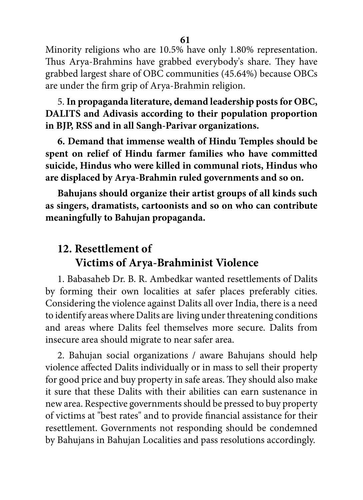Minority religions who are 10.5% have only 1.80% representation. Thus Arya-Brahmins have grabbed everybody's share. They have grabbed largest share of OBC communities (45.64%) because OBCs are under the firm grip of Arya-Brahmin religion.

5. **In propaganda literature, demand leadership posts for OBC, DALITS and Adivasis according to their population proportion in BJP, RSS and in all Sangh-Parivar organizations.**

**6. Demand that immense wealth of Hindu Temples should be spent on relief of Hindu farmer families who have committed suicide, Hindus who were killed in communal riots, Hindus who are displaced by Arya-Brahmin ruled governments and so on.**

**Bahujans should organize their artist groups of all kinds such as singers, dramatists, cartoonists and so on who can contribute meaningfully to Bahujan propaganda.**

## **12. Resettlement of Victims of Arya-Brahminist Violence**

1. Babasaheb Dr. B. R. Ambedkar wanted resettlements of Dalits by forming their own localities at safer places preferably cities. Considering the violence against Dalits all over India, there is a need to identify areas where Dalits are living under threatening conditions and areas where Dalits feel themselves more secure. Dalits from insecure area should migrate to near safer area.

2. Bahujan social organizations / aware Bahujans should help violence affected Dalits individually or in mass to sell their property for good price and buy property in safe areas. They should also make it sure that these Dalits with their abilities can earn sustenance in new area. Respective governments should be pressed to buy property of victims at "best rates" and to provide financial assistance for their resettlement. Governments not responding should be condemned by Bahujans in Bahujan Localities and pass resolutions accordingly.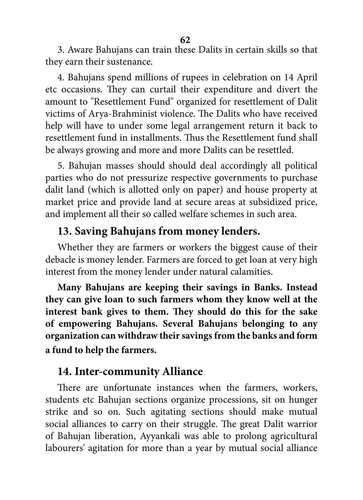3. Aware Bahujans can train these Dalits in certain skills so that they earn their sustenance.

4. Bahujans spend millions of rupees in celebration on 14 April etc occasions. They can curtail their expenditure and divert the amount to "Resettlement Fund" organized for resettlement of Dalit victims of Arya-Brahminist violence. The Dalits who have received help will have to under some legal arrangement return it back to resettlement fund in installments. Thus the Resettlement fund shall be always growing and more and more Dalits can be resettled.

5. Bahujan masses should should deal accordingly all political parties who do not pressurize respective governments to purchase dalit land (which is allotted only on paper) and house property at market price and provide land at secure areas at subsidized price, and implement all their so called welfare schemes in such area.

### **13. Saving Bahujans from money lenders.**

Whether they are farmers or workers the biggest cause of their debacle is money lender. Farmers are forced to get loan at very high interest from the money lender under natural calamities.

**Many Bahujans are keeping their savings in Banks. Instead they can give loan to such farmers whom they know well at the interest bank gives to them. They should do this for the sake of empowering Bahujans. Several Bahujans belonging to any organization can withdraw their savings from the banks and form a fund to help the farmers.**

#### **14. Inter-community Alliance**

There are unfortunate instances when the farmers, workers, students etc Bahujan sections organize processions, sit on hunger strike and so on. Such agitating sections should make mutual social alliances to carry on their struggle. The great Dalit warrior of Bahujan liberation, Ayyankali was able to prolong agricultural labourers' agitation for more than a year by mutual social alliance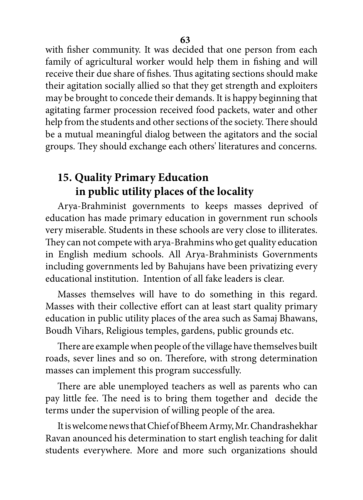with fisher community. It was decided that one person from each family of agricultural worker would help them in fishing and will receive their due share of fishes. Thus agitating sections should make their agitation socially allied so that they get strength and exploiters may be brought to concede their demands. It is happy beginning that agitating farmer procession received food packets, water and other help from the students and other sections of the society. There should be a mutual meaningful dialog between the agitators and the social groups. They should exchange each others' literatures and concerns.

### **15. Quality Primary Education in public utility places of the locality**

Arya-Brahminist governments to keeps masses deprived of education has made primary education in government run schools very miserable. Students in these schools are very close to illiterates. They can not compete with arya-Brahmins who get quality education in English medium schools. All Arya-Brahminists Governments including governments led by Bahujans have been privatizing every educational institution. Intention of all fake leaders is clear.

Masses themselves will have to do something in this regard. Masses with their collective effort can at least start quality primary education in public utility places of the area such as Samaj Bhawans, Boudh Vihars, Religious temples, gardens, public grounds etc.

There are example when people of the village have themselves built roads, sever lines and so on. Therefore, with strong determination masses can implement this program successfully.

There are able unemployed teachers as well as parents who can pay little fee. The need is to bring them together and decide the terms under the supervision of willing people of the area.

It is welcome news that Chief of Bheem Army, Mr. Chandrashekhar Ravan anounced his determination to start english teaching for dalit students everywhere. More and more such organizations should